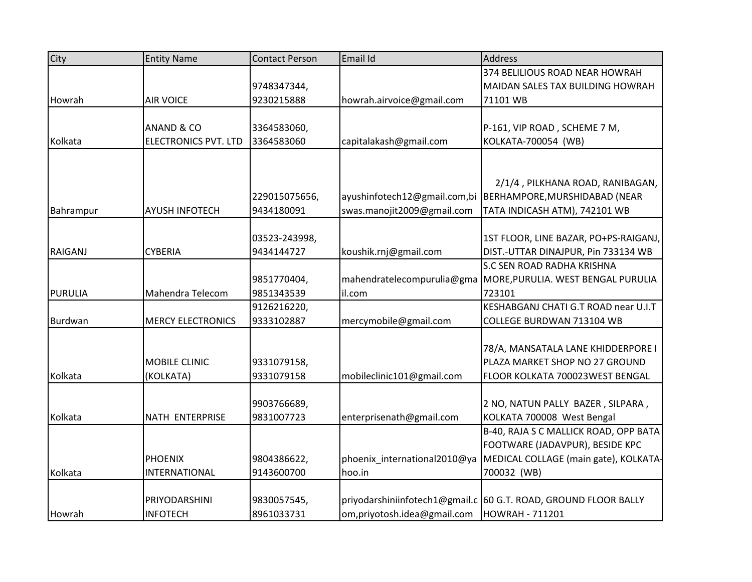| City           | <b>Entity Name</b>          | <b>Contact Person</b> | Email Id                     | <b>Address</b>                                                  |
|----------------|-----------------------------|-----------------------|------------------------------|-----------------------------------------------------------------|
|                |                             |                       |                              | 374 BELILIOUS ROAD NEAR HOWRAH                                  |
|                |                             | 9748347344,           |                              | MAIDAN SALES TAX BUILDING HOWRAH                                |
| Howrah         | <b>AIR VOICE</b>            | 9230215888            | howrah.airvoice@gmail.com    | 71101 WB                                                        |
|                |                             |                       |                              |                                                                 |
|                | <b>ANAND &amp; CO</b>       | 3364583060,           |                              | P-161, VIP ROAD, SCHEME 7 M,                                    |
| Kolkata        | <b>ELECTRONICS PVT. LTD</b> | 3364583060            | capitalakash@gmail.com       | KOLKATA-700054 (WB)                                             |
|                |                             |                       |                              |                                                                 |
|                |                             |                       |                              |                                                                 |
|                |                             |                       |                              | 2/1/4, PILKHANA ROAD, RANIBAGAN,                                |
|                |                             | 229015075656,         | ayushinfotech12@gmail.com,bi | BERHAMPORE, MURSHIDABAD (NEAR                                   |
| Bahrampur      | <b>AYUSH INFOTECH</b>       | 9434180091            | swas.manojit2009@gmail.com   | TATA INDICASH ATM), 742101 WB                                   |
|                |                             |                       |                              |                                                                 |
|                |                             | 03523-243998,         |                              | 1ST FLOOR, LINE BAZAR, PO+PS-RAIGANJ,                           |
| <b>RAIGANJ</b> | <b>CYBERIA</b>              | 9434144727            | koushik.rnj@gmail.com        | DIST.-UTTAR DINAJPUR, Pin 733134 WB                             |
|                |                             |                       |                              | <b>S.C SEN ROAD RADHA KRISHNA</b>                               |
|                |                             | 9851770404,           | mahendratelecompurulia@gma   | MORE, PURULIA. WEST BENGAL PURULIA                              |
| <b>PURULIA</b> | Mahendra Telecom            | 9851343539            | il.com                       | 723101                                                          |
|                |                             | 9126216220,           |                              | KESHABGANJ CHATI G.T ROAD near U.I.T                            |
| Burdwan        | <b>MERCY ELECTRONICS</b>    | 9333102887            | mercymobile@gmail.com        | COLLEGE BURDWAN 713104 WB                                       |
|                |                             |                       |                              |                                                                 |
|                |                             |                       |                              | 78/A, MANSATALA LANE KHIDDERPORE I                              |
|                | MOBILE CLINIC               | 9331079158,           |                              | PLAZA MARKET SHOP NO 27 GROUND                                  |
| Kolkata        | (KOLKATA)                   | 9331079158            | mobileclinic101@gmail.com    | FLOOR KOLKATA 700023WEST BENGAL                                 |
|                |                             |                       |                              |                                                                 |
|                |                             | 9903766689,           |                              | 2 NO, NATUN PALLY BAZER, SILPARA,                               |
| Kolkata        | NATH ENTERPRISE             | 9831007723            | enterprisenath@gmail.com     | KOLKATA 700008 West Bengal                                      |
|                |                             |                       |                              | B-40, RAJA S C MALLICK ROAD, OPP BATA                           |
|                |                             |                       |                              | FOOTWARE (JADAVPUR), BESIDE KPC                                 |
|                | <b>PHOENIX</b>              | 9804386622,           | phoenix_international2010@ya | MEDICAL COLLAGE (main gate), KOLKATA-                           |
| Kolkata        | INTERNATIONAL               | 9143600700            | hoo.in                       | 700032 (WB)                                                     |
|                |                             |                       |                              |                                                                 |
|                | PRIYODARSHINI               | 9830057545,           |                              | priyodarshiniinfotech1@gmail.c 60 G.T. ROAD, GROUND FLOOR BALLY |
| Howrah         | <b>INFOTECH</b>             | 8961033731            | om, priyotosh.idea@gmail.com | HOWRAH - 711201                                                 |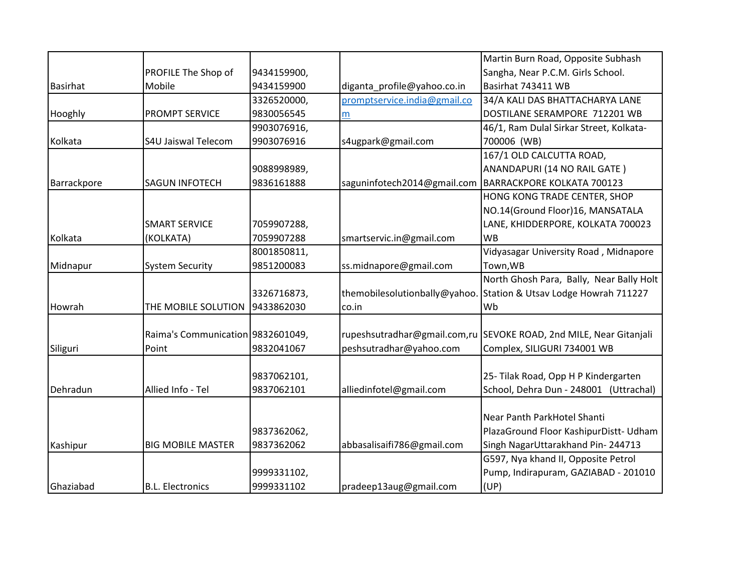|                 |                                   |             |                              | Martin Burn Road, Opposite Subhash       |
|-----------------|-----------------------------------|-------------|------------------------------|------------------------------------------|
|                 | PROFILE The Shop of               | 9434159900, |                              | Sangha, Near P.C.M. Girls School.        |
| <b>Basirhat</b> | Mobile                            | 9434159900  | diganta_profile@yahoo.co.in  | Basirhat 743411 WB                       |
|                 |                                   | 3326520000, | promptservice.india@gmail.co | 34/A KALI DAS BHATTACHARYA LANE          |
| Hooghly         | <b>PROMPT SERVICE</b>             | 9830056545  | m                            | DOSTILANE SERAMPORE 712201 WB            |
|                 |                                   | 9903076916, |                              | 46/1, Ram Dulal Sirkar Street, Kolkata-  |
| Kolkata         | <b>S4U Jaiswal Telecom</b>        | 9903076916  | s4ugpark@gmail.com           | 700006 (WB)                              |
|                 |                                   |             |                              | 167/1 OLD CALCUTTA ROAD,                 |
|                 |                                   | 9088998989, |                              | ANANDAPURI (14 NO RAIL GATE)             |
| Barrackpore     | <b>SAGUN INFOTECH</b>             | 9836161888  | saguninfotech2014@gmail.com  | BARRACKPORE KOLKATA 700123               |
|                 |                                   |             |                              | HONG KONG TRADE CENTER, SHOP             |
|                 |                                   |             |                              | NO.14(Ground Floor)16, MANSATALA         |
|                 | <b>SMART SERVICE</b>              | 7059907288, |                              | LANE, KHIDDERPORE, KOLKATA 700023        |
| Kolkata         | (KOLKATA)                         | 7059907288  | smartservic.in@gmail.com     | <b>WB</b>                                |
|                 |                                   | 8001850811, |                              | Vidyasagar University Road, Midnapore    |
| Midnapur        | <b>System Security</b>            | 9851200083  | ss.midnapore@gmail.com       | Town, WB                                 |
|                 |                                   |             |                              | North Ghosh Para, Bally, Near Bally Holt |
|                 |                                   | 3326716873, | themobilesolutionbally@yahoo | Station & Utsav Lodge Howrah 711227      |
| Howrah          | THE MOBILE SOLUTION               | 9433862030  | co.in                        | Wb                                       |
|                 |                                   |             |                              |                                          |
|                 | Raima's Communication 9832601049, |             | rupeshsutradhar@gmail.com,ru | SEVOKE ROAD, 2nd MILE, Near Gitanjali    |
| Siliguri        | Point                             | 9832041067  | peshsutradhar@yahoo.com      | Complex, SILIGURI 734001 WB              |
|                 |                                   |             |                              |                                          |
|                 |                                   | 9837062101, |                              | 25-Tilak Road, Opp H P Kindergarten      |
| Dehradun        | Allied Info - Tel                 | 9837062101  | alliedinfotel@gmail.com      | School, Dehra Dun - 248001 (Uttrachal)   |
|                 |                                   |             |                              |                                          |
|                 |                                   |             |                              | Near Panth ParkHotel Shanti              |
|                 |                                   | 9837362062, |                              | PlazaGround Floor KashipurDistt- Udham   |
| Kashipur        | <b>BIG MOBILE MASTER</b>          | 9837362062  | abbasalisaifi786@gmail.com   | Singh NagarUttarakhand Pin-244713        |
|                 |                                   |             |                              | G597, Nya khand II, Opposite Petrol      |
|                 |                                   | 9999331102, |                              | Pump, Indirapuram, GAZIABAD - 201010     |
| Ghaziabad       | <b>B.L. Electronics</b>           | 9999331102  | pradeep13aug@gmail.com       | (UP)                                     |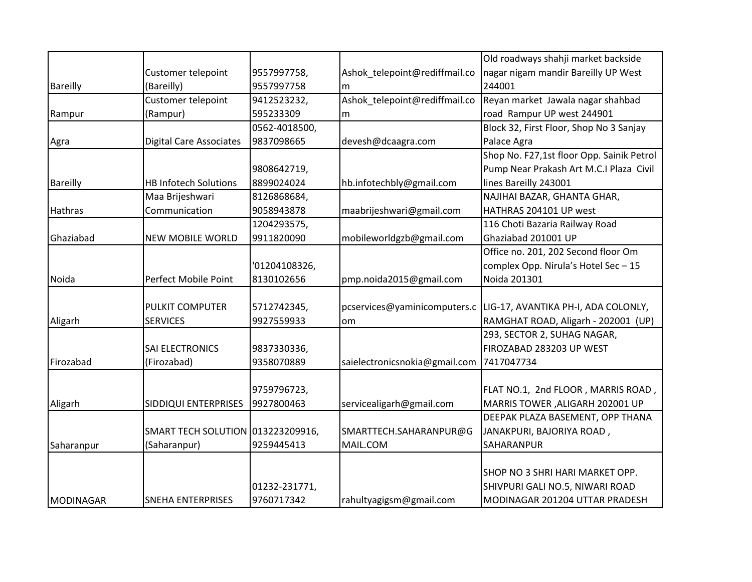|                 |                                   |               |                               | Old roadways shahji market backside       |
|-----------------|-----------------------------------|---------------|-------------------------------|-------------------------------------------|
|                 | Customer telepoint                | 9557997758,   | Ashok telepoint@rediffmail.co | nagar nigam mandir Bareilly UP West       |
| <b>Bareilly</b> | (Bareilly)                        | 9557997758    | m                             | 244001                                    |
|                 | Customer telepoint                | 9412523232,   | Ashok telepoint@rediffmail.co | Reyan market Jawala nagar shahbad         |
| Rampur          | (Rampur)                          | 595233309     | m                             | road Rampur UP west 244901                |
|                 |                                   | 0562-4018500, |                               | Block 32, First Floor, Shop No 3 Sanjay   |
| Agra            | <b>Digital Care Associates</b>    | 9837098665    | devesh@dcaagra.com            | Palace Agra                               |
|                 |                                   |               |                               | Shop No. F27,1st floor Opp. Sainik Petrol |
|                 |                                   | 9808642719,   |                               | Pump Near Prakash Art M.C.I Plaza Civil   |
| <b>Bareilly</b> | <b>HB Infotech Solutions</b>      | 8899024024    | hb.infotechbly@gmail.com      | lines Bareilly 243001                     |
|                 | Maa Brijeshwari                   | 8126868684,   |                               | NAJIHAI BAZAR, GHANTA GHAR,               |
| <b>Hathras</b>  | Communication                     | 9058943878    | maabrijeshwari@gmail.com      | HATHRAS 204101 UP west                    |
|                 |                                   | 1204293575,   |                               | 116 Choti Bazaria Railway Road            |
| Ghaziabad       | <b>NEW MOBILE WORLD</b>           | 9911820090    | mobileworldgzb@gmail.com      | Ghaziabad 201001 UP                       |
|                 |                                   |               |                               | Office no. 201, 202 Second floor Om       |
|                 |                                   | '01204108326, |                               | complex Opp. Nirula's Hotel Sec-15        |
| Noida           | Perfect Mobile Point              | 8130102656    | pmp.noida2015@gmail.com       | Noida 201301                              |
|                 |                                   |               |                               |                                           |
|                 | <b>PULKIT COMPUTER</b>            | 5712742345,   | pcservices@yaminicomputers.c  | LIG-17, AVANTIKA PH-I, ADA COLONLY,       |
| Aligarh         | <b>SERVICES</b>                   | 9927559933    | om                            | RAMGHAT ROAD, Aligarh - 202001 (UP)       |
|                 |                                   |               |                               | 293, SECTOR 2, SUHAG NAGAR,               |
|                 | <b>SAI ELECTRONICS</b>            | 9837330336,   |                               | FIROZABAD 283203 UP WEST                  |
| Firozabad       | (Firozabad)                       | 9358070889    | saielectronicsnokia@gmail.com | 7417047734                                |
|                 |                                   |               |                               |                                           |
|                 |                                   | 9759796723,   |                               | FLAT NO.1, 2nd FLOOR, MARRIS ROAD,        |
| Aligarh         | SIDDIQUI ENTERPRISES              | 9927800463    | servicealigarh@gmail.com      | MARRIS TOWER , ALIGARH 202001 UP          |
|                 |                                   |               |                               | DEEPAK PLAZA BASEMENT, OPP THANA          |
|                 | SMART TECH SOLUTION 013223209916, |               | SMARTTECH.SAHARANPUR@G        | JANAKPURI, BAJORIYA ROAD,                 |
| Saharanpur      | (Saharanpur)                      | 9259445413    | MAIL.COM                      | SAHARANPUR                                |
|                 |                                   |               |                               |                                           |
|                 |                                   |               |                               | SHOP NO 3 SHRI HARI MARKET OPP.           |
|                 |                                   | 01232-231771, |                               | SHIVPURI GALI NO.5, NIWARI ROAD           |
| MODINAGAR       | <b>SNEHA ENTERPRISES</b>          | 9760717342    | rahultyagigsm@gmail.com       | MODINAGAR 201204 UTTAR PRADESH            |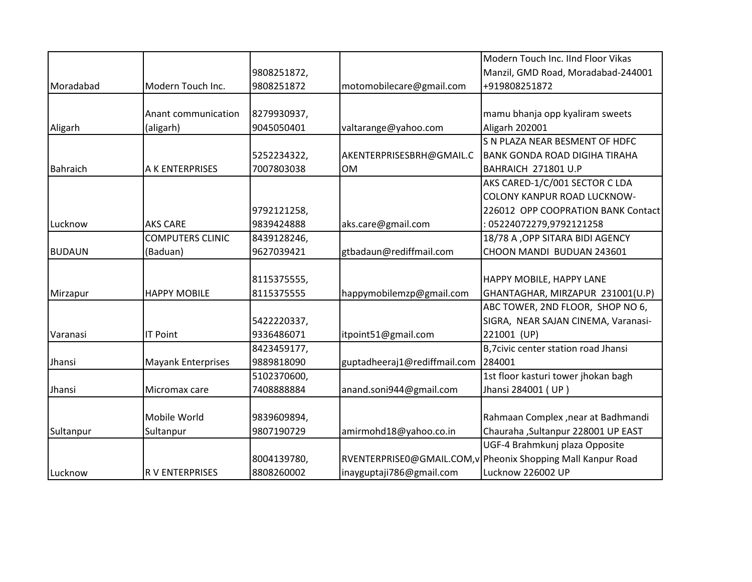|                 |                           |             |                              | Modern Touch Inc. IInd Floor Vikas                          |
|-----------------|---------------------------|-------------|------------------------------|-------------------------------------------------------------|
|                 |                           | 9808251872, |                              | Manzil, GMD Road, Moradabad-244001                          |
| Moradabad       | Modern Touch Inc.         | 9808251872  | motomobilecare@gmail.com     | +919808251872                                               |
|                 |                           |             |                              |                                                             |
|                 | Anant communication       | 8279930937, |                              | mamu bhanja opp kyaliram sweets                             |
| Aligarh         | (aligarh)                 | 9045050401  | valtarange@yahoo.com         | Aligarh 202001                                              |
|                 |                           |             |                              | S N PLAZA NEAR BESMENT OF HDFC                              |
|                 |                           | 5252234322, | AKENTERPRISESBRH@GMAIL.C     | <b>BANK GONDA ROAD DIGIHA TIRAHA</b>                        |
| <b>Bahraich</b> | A K ENTERPRISES           | 7007803038  | <b>OM</b>                    | BAHRAICH 271801 U.P                                         |
|                 |                           |             |                              | AKS CARED-1/C/001 SECTOR C LDA                              |
|                 |                           |             |                              | <b>COLONY KANPUR ROAD LUCKNOW-</b>                          |
|                 |                           | 9792121258, |                              | 226012 OPP COOPRATION BANK Contact                          |
| Lucknow         | <b>AKS CARE</b>           | 9839424888  | aks.care@gmail.com           | 05224072279,9792121258                                      |
|                 | <b>COMPUTERS CLINIC</b>   | 8439128246, |                              | 18/78 A , OPP SITARA BIDI AGENCY                            |
| <b>BUDAUN</b>   | (Baduan)                  | 9627039421  | gtbadaun@rediffmail.com      | CHOON MANDI BUDUAN 243601                                   |
|                 |                           |             |                              |                                                             |
|                 |                           | 8115375555, |                              | HAPPY MOBILE, HAPPY LANE                                    |
| Mirzapur        | <b>HAPPY MOBILE</b>       | 8115375555  | happymobilemzp@gmail.com     | GHANTAGHAR, MIRZAPUR 231001(U.P)                            |
|                 |                           |             |                              | ABC TOWER, 2ND FLOOR, SHOP NO 6,                            |
|                 |                           | 5422220337, |                              | SIGRA, NEAR SAJAN CINEMA, Varanasi-                         |
| Varanasi        | <b>IT Point</b>           | 9336486071  | itpoint51@gmail.com          | 221001 (UP)                                                 |
|                 |                           | 8423459177, |                              | B,7civic center station road Jhansi                         |
| Jhansi          | <b>Mayank Enterprises</b> | 9889818090  | guptadheeraj1@rediffmail.com | 284001                                                      |
|                 |                           | 5102370600, |                              | 1st floor kasturi tower jhokan bagh                         |
| Jhansi          | Micromax care             | 7408888884  | anand.soni944@gmail.com      | Jhansi 284001 (UP)                                          |
|                 |                           |             |                              |                                                             |
|                 | Mobile World              | 9839609894, |                              | Rahmaan Complex, near at Badhmandi                          |
| Sultanpur       | Sultanpur                 | 9807190729  | amirmohd18@yahoo.co.in       | Chauraha , Sultanpur 228001 UP EAST                         |
|                 |                           |             |                              | UGF-4 Brahmkunj plaza Opposite                              |
|                 |                           | 8004139780, |                              | RVENTERPRISEO@GMAIL.COM,v Pheonix Shopping Mall Kanpur Road |
| Lucknow         | <b>RV ENTERPRISES</b>     | 8808260002  | inayguptaji786@gmail.com     | Lucknow 226002 UP                                           |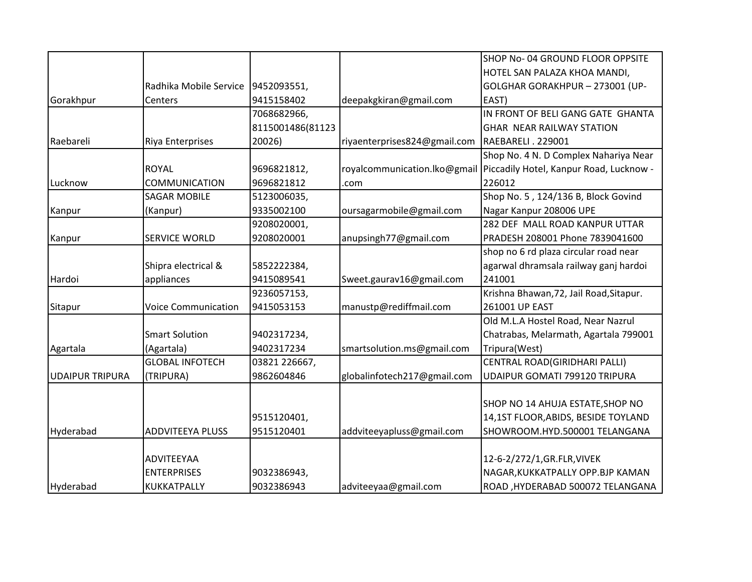|                        |                            |                  |                              | SHOP No-04 GROUND FLOOR OPPSITE         |
|------------------------|----------------------------|------------------|------------------------------|-----------------------------------------|
|                        |                            |                  |                              | HOTEL SAN PALAZA KHOA MANDI,            |
|                        | Radhika Mobile Service     | 9452093551,      |                              | GOLGHAR GORAKHPUR - 273001 (UP-         |
| Gorakhpur              | Centers                    | 9415158402       | deepakgkiran@gmail.com       | EAST)                                   |
|                        |                            | 7068682966,      |                              | IN FRONT OF BELI GANG GATE GHANTA       |
|                        |                            | 8115001486(81123 |                              | GHAR NEAR RAILWAY STATION               |
| Raebareli              | Riya Enterprises           | 20026)           | riyaenterprises824@gmail.com | RAEBARELI . 229001                      |
|                        |                            |                  |                              | Shop No. 4 N. D Complex Nahariya Near   |
|                        | <b>ROYAL</b>               | 9696821812,      | royalcommunication.lko@gmail | Piccadily Hotel, Kanpur Road, Lucknow - |
| Lucknow                | <b>COMMUNICATION</b>       | 9696821812       | .com                         | 226012                                  |
|                        | <b>SAGAR MOBILE</b>        | 5123006035,      |                              | Shop No. 5, 124/136 B, Block Govind     |
| Kanpur                 | (Kanpur)                   | 9335002100       | oursagarmobile@gmail.com     | Nagar Kanpur 208006 UPE                 |
|                        |                            | 9208020001,      |                              | 282 DEF MALL ROAD KANPUR UTTAR          |
| Kanpur                 | <b>SERVICE WORLD</b>       | 9208020001       | anupsingh77@gmail.com        | PRADESH 208001 Phone 7839041600         |
|                        |                            |                  |                              | shop no 6 rd plaza circular road near   |
|                        | Shipra electrical &        | 5852222384,      |                              | agarwal dhramsala railway ganj hardoi   |
| Hardoi                 | appliances                 | 9415089541       | Sweet.gaurav16@gmail.com     | 241001                                  |
|                        |                            | 9236057153,      |                              | Krishna Bhawan, 72, Jail Road, Sitapur. |
| Sitapur                | <b>Voice Communication</b> | 9415053153       | manustp@rediffmail.com       | 261001 UP EAST                          |
|                        |                            |                  |                              | Old M.L.A Hostel Road, Near Nazrul      |
|                        | <b>Smart Solution</b>      | 9402317234,      |                              | Chatrabas, Melarmath, Agartala 799001   |
| Agartala               | (Agartala)                 | 9402317234       | smartsolution.ms@gmail.com   | Tripura(West)                           |
|                        | <b>GLOBAL INFOTECH</b>     | 03821 226667,    |                              | CENTRAL ROAD(GIRIDHARI PALLI)           |
| <b>UDAIPUR TRIPURA</b> | (TRIPURA)                  | 9862604846       | globalinfotech217@gmail.com  | UDAIPUR GOMATI 799120 TRIPURA           |
|                        |                            |                  |                              |                                         |
|                        |                            |                  |                              | SHOP NO 14 AHUJA ESTATE, SHOP NO        |
|                        |                            | 9515120401,      |                              | 14,1ST FLOOR, ABIDS, BESIDE TOYLAND     |
| Hyderabad              | <b>ADDVITEEYA PLUSS</b>    | 9515120401       | addviteeyapluss@gmail.com    | SHOWROOM.HYD.500001 TELANGANA           |
|                        |                            |                  |                              |                                         |
|                        | <b>ADVITEEYAA</b>          |                  |                              | 12-6-2/272/1, GR. FLR, VIVEK            |
|                        | <b>ENTERPRISES</b>         | 9032386943,      |                              | NAGAR, KUKKATPALLY OPP.BJP KAMAN        |
| Hyderabad              | <b>KUKKATPALLY</b>         | 9032386943       | adviteeyaa@gmail.com         | ROAD, HYDERABAD 500072 TELANGANA        |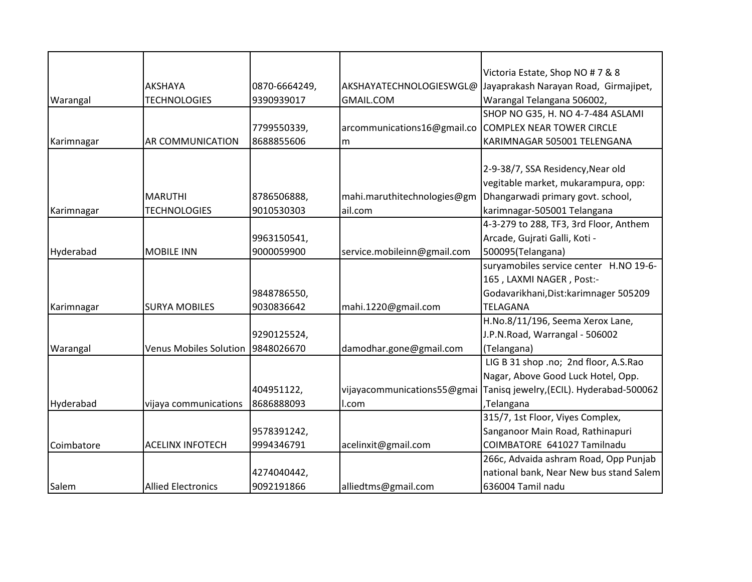|            |                               |               |                             | Victoria Estate, Shop NO # 7 & 8         |
|------------|-------------------------------|---------------|-----------------------------|------------------------------------------|
|            | <b>AKSHAYA</b>                | 0870-6664249, | AKSHAYATECHNOLOGIESWGL@     | Jayaprakash Narayan Road, Girmajipet,    |
| Warangal   | <b>TECHNOLOGIES</b>           | 9390939017    | GMAIL.COM                   | Warangal Telangana 506002,               |
|            |                               |               |                             | SHOP NO G35, H. NO 4-7-484 ASLAMI        |
|            |                               | 7799550339,   | arcommunications16@gmail.co | <b>COMPLEX NEAR TOWER CIRCLE</b>         |
| Karimnagar | <b>AR COMMUNICATION</b>       | 8688855606    | m                           | KARIMNAGAR 505001 TELENGANA              |
|            |                               |               |                             |                                          |
|            |                               |               |                             | 2-9-38/7, SSA Residency, Near old        |
|            |                               |               |                             | vegitable market, mukarampura, opp:      |
|            | <b>MARUTHI</b>                | 8786506888,   | mahi.maruthitechnologies@gm | Dhangarwadi primary govt. school,        |
| Karimnagar | <b>TECHNOLOGIES</b>           | 9010530303    | ail.com                     | karimnagar-505001 Telangana              |
|            |                               |               |                             | 4-3-279 to 288, TF3, 3rd Floor, Anthem   |
|            |                               | 9963150541,   |                             | Arcade, Gujrati Galli, Koti -            |
| Hyderabad  | <b>MOBILE INN</b>             | 9000059900    | service.mobileinn@gmail.com | 500095(Telangana)                        |
|            |                               |               |                             | suryamobiles service center H.NO 19-6-   |
|            |                               |               |                             | 165, LAXMI NAGER, Post:-                 |
|            |                               | 9848786550,   |                             | Godavarikhani, Dist: karimnager 505209   |
| Karimnagar | <b>SURYA MOBILES</b>          | 9030836642    | mahi.1220@gmail.com         | <b>TELAGANA</b>                          |
|            |                               |               |                             | H.No.8/11/196, Seema Xerox Lane,         |
|            |                               | 9290125524,   |                             | J.P.N.Road, Warrangal - 506002           |
| Warangal   | <b>Venus Mobiles Solution</b> | 9848026670    | damodhar.gone@gmail.com     | (Telangana)                              |
|            |                               |               |                             | LIG B 31 shop .no; 2nd floor, A.S.Rao    |
|            |                               |               |                             | Nagar, Above Good Luck Hotel, Opp.       |
|            |                               | 404951122,    | vijayacommunications55@gmai | Tanisq jewelry, (ECIL). Hyderabad-500062 |
| Hyderabad  | vijaya communications         | 8686888093    | l.com                       | ,Telangana                               |
|            |                               |               |                             | 315/7, 1st Floor, Viyes Complex,         |
|            |                               | 9578391242,   |                             | Sanganoor Main Road, Rathinapuri         |
| Coimbatore | <b>ACELINX INFOTECH</b>       | 9994346791    | acelinxit@gmail.com         | COIMBATORE 641027 Tamilnadu              |
|            |                               |               |                             | 266c, Advaida ashram Road, Opp Punjab    |
|            |                               | 4274040442,   |                             | national bank, Near New bus stand Salem  |
| Salem      | <b>Allied Electronics</b>     | 9092191866    | alliedtms@gmail.com         | 636004 Tamil nadu                        |
|            |                               |               |                             |                                          |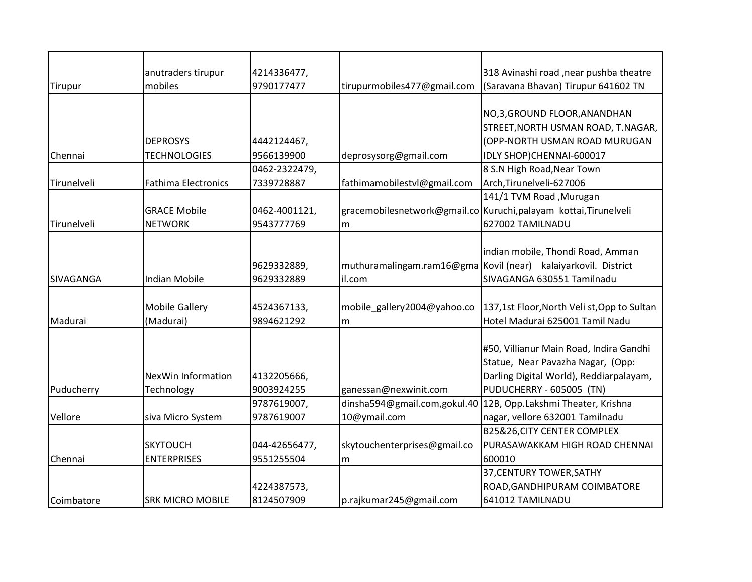|                  | anutraders tirupur         | 4214336477,   |                              | 318 Avinashi road , near pushba theatre                         |
|------------------|----------------------------|---------------|------------------------------|-----------------------------------------------------------------|
| Tirupur          | mobiles                    | 9790177477    | tirupurmobiles477@gmail.com  | (Saravana Bhavan) Tirupur 641602 TN                             |
|                  |                            |               |                              |                                                                 |
|                  |                            |               |                              | NO,3, GROUND FLOOR, ANANDHAN                                    |
|                  |                            |               |                              | STREET, NORTH USMAN ROAD, T.NAGAR,                              |
|                  | <b>DEPROSYS</b>            | 4442124467,   |                              | (OPP-NORTH USMAN ROAD MURUGAN                                   |
| Chennai          | <b>TECHNOLOGIES</b>        | 9566139900    | deprosysorg@gmail.com        | IDLY SHOP)CHENNAI-600017                                        |
|                  |                            | 0462-2322479, |                              | 8 S.N High Road, Near Town                                      |
| Tirunelveli      | <b>Fathima Electronics</b> | 7339728887    | fathimamobilestvl@gmail.com  | Arch, Tirunelveli-627006                                        |
|                  |                            |               |                              | 141/1 TVM Road , Murugan                                        |
|                  | <b>GRACE Mobile</b>        | 0462-4001121, |                              | gracemobilesnetwork@gmail.co Kuruchi,palayam kottai,Tirunelveli |
| Tirunelveli      | <b>NETWORK</b>             | 9543777769    | m                            | 627002 TAMILNADU                                                |
|                  |                            |               |                              |                                                                 |
|                  |                            |               |                              | indian mobile, Thondi Road, Amman                               |
|                  |                            | 9629332889,   |                              | muthuramalingam.ram16@gma Kovil (near) kalaiyarkovil. District  |
| <b>SIVAGANGA</b> | <b>Indian Mobile</b>       | 9629332889    | il.com                       | SIVAGANGA 630551 Tamilnadu                                      |
|                  |                            |               |                              |                                                                 |
|                  | <b>Mobile Gallery</b>      | 4524367133,   | mobile gallery2004@yahoo.co  | 137,1st Floor, North Veli st, Opp to Sultan                     |
| Madurai          | (Madurai)                  | 9894621292    | m                            | Hotel Madurai 625001 Tamil Nadu                                 |
|                  |                            |               |                              |                                                                 |
|                  |                            |               |                              | #50, Villianur Main Road, Indira Gandhi                         |
|                  |                            |               |                              | Statue, Near Pavazha Nagar, (Opp:                               |
|                  | NexWin Information         | 4132205666,   |                              | Darling Digital World), Reddiarpalayam,                         |
| Puducherry       | Technology                 | 9003924255    | ganessan@nexwinit.com        | PUDUCHERRY - 605005 (TN)                                        |
|                  |                            | 9787619007,   | dinsha594@gmail.com,gokul.40 | 12B, Opp.Lakshmi Theater, Krishna                               |
| Vellore          | siva Micro System          | 9787619007    | 10@ymail.com                 | nagar, vellore 632001 Tamilnadu                                 |
|                  |                            |               |                              | B25&26, CITY CENTER COMPLEX                                     |
|                  | <b>SKYTOUCH</b>            | 044-42656477, | skytouchenterprises@gmail.co | PURASAWAKKAM HIGH ROAD CHENNAI                                  |
| Chennai          | <b>ENTERPRISES</b>         | 9551255504    | m                            | 600010                                                          |
|                  |                            |               |                              | 37, CENTURY TOWER, SATHY                                        |
|                  |                            | 4224387573,   |                              | ROAD, GANDHIPURAM COIMBATORE                                    |
| Coimbatore       | <b>SRK MICRO MOBILE</b>    | 8124507909    | p.rajkumar245@gmail.com      | 641012 TAMILNADU                                                |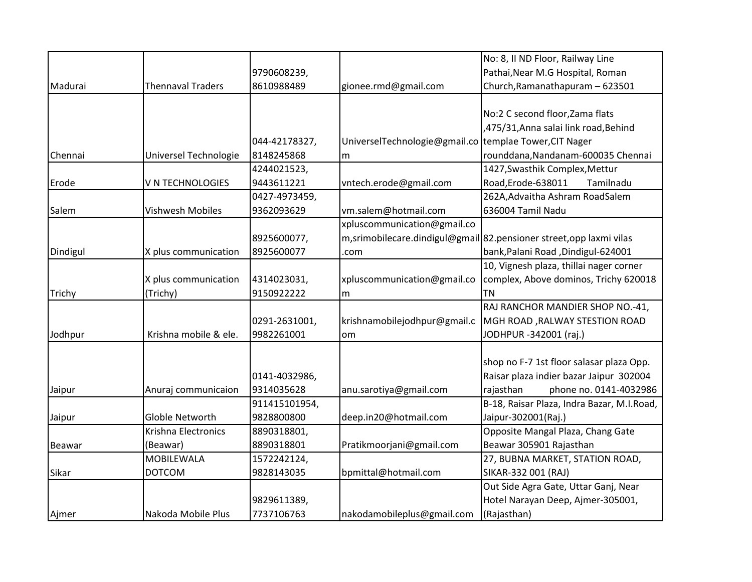|          |                          |               |                                                        | No: 8, II ND Floor, Railway Line                                     |
|----------|--------------------------|---------------|--------------------------------------------------------|----------------------------------------------------------------------|
|          |                          | 9790608239,   |                                                        | Pathai, Near M.G Hospital, Roman                                     |
| Madurai  | <b>Thennaval Traders</b> | 8610988489    | gionee.rmd@gmail.com                                   | Church, Ramanathapuram - 623501                                      |
|          |                          |               |                                                        |                                                                      |
|          |                          |               |                                                        | No:2 C second floor, Zama flats                                      |
|          |                          |               |                                                        | ,475/31, Anna salai link road, Behind                                |
|          |                          | 044-42178327, | UniverselTechnologie@gmail.co templae Tower, CIT Nager |                                                                      |
| Chennai  | Universel Technologie    | 8148245868    | m                                                      | rounddana, Nandanam-600035 Chennai                                   |
|          |                          | 4244021523,   |                                                        | 1427, Swasthik Complex, Mettur                                       |
| Erode    | V N TECHNOLOGIES         | 9443611221    | vntech.erode@gmail.com                                 | Road, Erode-638011<br>Tamilnadu                                      |
|          |                          | 0427-4973459, |                                                        | 262A, Advaitha Ashram RoadSalem                                      |
| Salem    | Vishwesh Mobiles         | 9362093629    | vm.salem@hotmail.com                                   | 636004 Tamil Nadu                                                    |
|          |                          |               | xpluscommunication@gmail.co                            |                                                                      |
|          |                          | 8925600077,   |                                                        | m, srimobilecare.dindigul@gmail 82.pensioner street, opp laxmi vilas |
| Dindigul | X plus communication     | 8925600077    | .com                                                   | bank, Palani Road, Dindigul-624001                                   |
|          |                          |               |                                                        | 10, Vignesh plaza, thillai nager corner                              |
|          | X plus communication     | 4314023031,   | xpluscommunication@gmail.co                            | complex, Above dominos, Trichy 620018                                |
| Trichy   | (Trichy)                 | 9150922222    | m                                                      | ltn                                                                  |
|          |                          |               |                                                        | RAJ RANCHOR MANDIER SHOP NO.-41,                                     |
|          |                          | 0291-2631001, | krishnamobilejodhpur@gmail.c                           | MGH ROAD, RALWAY STESTION ROAD                                       |
| Jodhpur  | Krishna mobile & ele.    | 9982261001    | om                                                     | JODHPUR -342001 (raj.)                                               |
|          |                          |               |                                                        |                                                                      |
|          |                          |               |                                                        | shop no F-7 1st floor salasar plaza Opp.                             |
|          |                          | 0141-4032986, |                                                        | Raisar plaza indier bazar Jaipur 302004                              |
| Jaipur   | Anuraj communicaion      | 9314035628    | anu.sarotiya@gmail.com                                 | phone no. 0141-4032986<br>rajasthan                                  |
|          |                          | 911415101954, |                                                        | B-18, Raisar Plaza, Indra Bazar, M.I.Road,                           |
| Jaipur   | Globle Networth          | 9828800800    | deep.in20@hotmail.com                                  | Jaipur-302001(Raj.)                                                  |
|          | Krishna Electronics      | 8890318801,   |                                                        | Opposite Mangal Plaza, Chang Gate                                    |
| Beawar   | (Beawar)                 | 8890318801    | Pratikmoorjani@gmail.com                               | Beawar 305901 Rajasthan                                              |
|          | <b>MOBILEWALA</b>        | 1572242124,   |                                                        | 27, BUBNA MARKET, STATION ROAD,                                      |
| Sikar    | <b>DOTCOM</b>            | 9828143035    | bpmittal@hotmail.com                                   | SIKAR-332 001 (RAJ)                                                  |
|          |                          |               |                                                        | Out Side Agra Gate, Uttar Ganj, Near                                 |
|          |                          | 9829611389,   |                                                        | Hotel Narayan Deep, Ajmer-305001,                                    |
| Ajmer    | Nakoda Mobile Plus       | 7737106763    | nakodamobileplus@gmail.com                             | (Rajasthan)                                                          |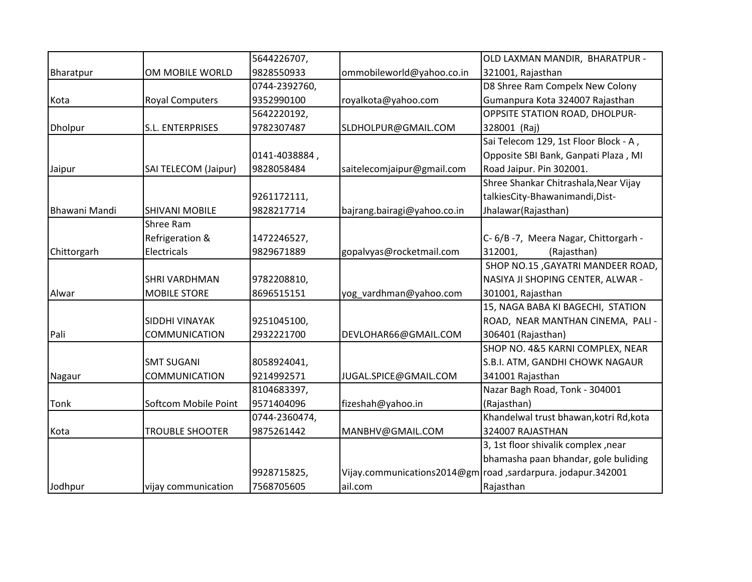|                |                        | 5644226707,   |                             | OLD LAXMAN MANDIR, BHARATPUR -                               |
|----------------|------------------------|---------------|-----------------------------|--------------------------------------------------------------|
| Bharatpur      | OM MOBILE WORLD        | 9828550933    | ommobileworld@yahoo.co.in   | 321001, Rajasthan                                            |
|                |                        | 0744-2392760, |                             | D8 Shree Ram Compelx New Colony                              |
| Kota           | <b>Royal Computers</b> | 9352990100    | royalkota@yahoo.com         | Gumanpura Kota 324007 Rajasthan                              |
|                |                        | 5642220192,   |                             | <b>OPPSITE STATION ROAD, DHOLPUR-</b>                        |
| <b>Dholpur</b> | S.L. ENTERPRISES       | 9782307487    | SLDHOLPUR@GMAIL.COM         | 328001 (Raj)                                                 |
|                |                        |               |                             | Sai Telecom 129, 1st Floor Block - A,                        |
|                |                        | 0141-4038884, |                             | Opposite SBI Bank, Ganpati Plaza, MI                         |
| Jaipur         | SAI TELECOM (Jaipur)   | 9828058484    | saitelecomjaipur@gmail.com  | Road Jaipur. Pin 302001.                                     |
|                |                        |               |                             | Shree Shankar Chitrashala, Near Vijay                        |
|                |                        | 9261172111,   |                             | talkiesCity-Bhawanimandi, Dist-                              |
| Bhawani Mandi  | <b>SHIVANI MOBILE</b>  | 9828217714    | bajrang.bairagi@yahoo.co.in | Jhalawar(Rajasthan)                                          |
|                | Shree Ram              |               |                             |                                                              |
|                | Refrigeration &        | 1472246527,   |                             | C- 6/B-7, Meera Nagar, Chittorgarh -                         |
| Chittorgarh    | Electricals            | 9829671889    | gopalvyas@rocketmail.com    | 312001,<br>(Rajasthan)                                       |
|                |                        |               |                             | SHOP NO.15, GAYATRI MANDEER ROAD,                            |
|                | <b>SHRI VARDHMAN</b>   | 9782208810,   |                             | NASIYA JI SHOPING CENTER, ALWAR -                            |
| Alwar          | <b>MOBILE STORE</b>    | 8696515151    | yog_vardhman@yahoo.com      | 301001, Rajasthan                                            |
|                |                        |               |                             | 15, NAGA BABA KI BAGECHI, STATION                            |
|                | <b>SIDDHI VINAYAK</b>  | 9251045100,   |                             | ROAD, NEAR MANTHAN CINEMA, PALI -                            |
| Pali           | COMMUNICATION          | 2932221700    | DEVLOHAR66@GMAIL.COM        | 306401 (Rajasthan)                                           |
|                |                        |               |                             | SHOP NO. 4&5 KARNI COMPLEX, NEAR                             |
|                | <b>SMT SUGANI</b>      | 8058924041,   |                             | S.B.I. ATM, GANDHI CHOWK NAGAUR                              |
| Nagaur         | <b>COMMUNICATION</b>   | 9214992571    | JUGAL.SPICE@GMAIL.COM       | 341001 Rajasthan                                             |
|                |                        | 8104683397,   |                             | Nazar Bagh Road, Tonk - 304001                               |
| Tonk           | Softcom Mobile Point   | 9571404096    | fizeshah@yahoo.in           | (Rajasthan)                                                  |
|                |                        | 0744-2360474, |                             | Khandelwal trust bhawan, kotri Rd, kota                      |
| Kota           | <b>TROUBLE SHOOTER</b> | 9875261442    | MANBHV@GMAIL.COM            | 324007 RAJASTHAN                                             |
|                |                        |               |                             | 3, 1st floor shivalik complex, near                          |
|                |                        |               |                             | bhamasha paan bhandar, gole buliding                         |
|                |                        | 9928715825,   |                             | Vijay.communications2014@gm road ,sardarpura. jodapur.342001 |
| Jodhpur        | vijay communication    | 7568705605    | ail.com                     | Rajasthan                                                    |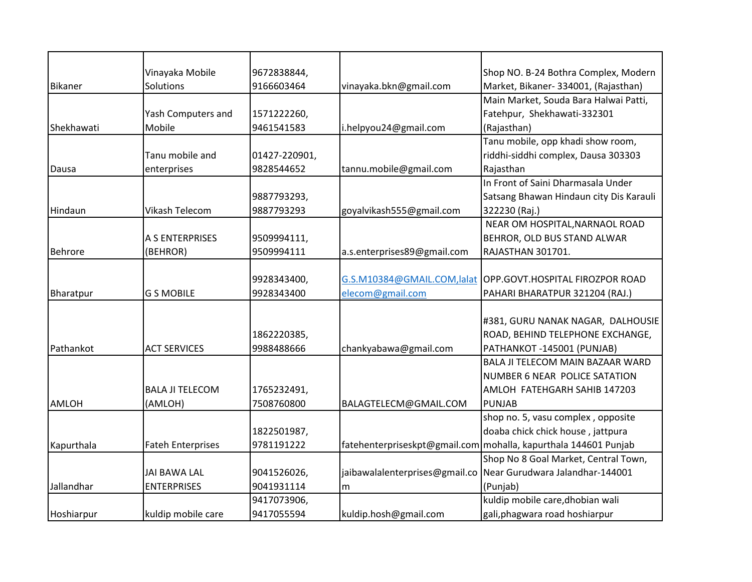|                | Vinayaka Mobile          | 9672838844,   |                                | Shop NO. B-24 Bothra Complex, Modern                            |
|----------------|--------------------------|---------------|--------------------------------|-----------------------------------------------------------------|
| Bikaner        | Solutions                | 9166603464    | vinayaka.bkn@gmail.com         | Market, Bikaner- 334001, (Rajasthan)                            |
|                |                          |               |                                | Main Market, Souda Bara Halwai Patti,                           |
|                | Yash Computers and       | 1571222260,   |                                | Fatehpur, Shekhawati-332301                                     |
| Shekhawati     | Mobile                   | 9461541583    | i.helpyou24@gmail.com          | (Rajasthan)                                                     |
|                |                          |               |                                | Tanu mobile, opp khadi show room,                               |
|                | Tanu mobile and          | 01427-220901, |                                | riddhi-siddhi complex, Dausa 303303                             |
| Dausa          | enterprises              | 9828544652    | tannu.mobile@gmail.com         | Rajasthan                                                       |
|                |                          |               |                                | In Front of Saini Dharmasala Under                              |
|                |                          | 9887793293,   |                                | Satsang Bhawan Hindaun city Dis Karauli                         |
| Hindaun        | Vikash Telecom           | 9887793293    | goyalvikash555@gmail.com       | 322230 (Raj.)                                                   |
|                |                          |               |                                | NEAR OM HOSPITAL, NARNAOL ROAD                                  |
|                | A S ENTERPRISES          | 9509994111,   |                                | BEHROR, OLD BUS STAND ALWAR                                     |
| <b>Behrore</b> | (BEHROR)                 | 9509994111    | a.s.enterprises89@gmail.com    | RAJASTHAN 301701.                                               |
|                |                          |               |                                |                                                                 |
|                |                          | 9928343400,   | G.S.M10384@GMAIL.COM,lalat     | OPP.GOVT.HOSPITAL FIROZPOR ROAD                                 |
| Bharatpur      | <b>G S MOBILE</b>        | 9928343400    | elecom@gmail.com               | PAHARI BHARATPUR 321204 (RAJ.)                                  |
|                |                          |               |                                |                                                                 |
|                |                          |               |                                | #381, GURU NANAK NAGAR, DALHOUSIE                               |
|                |                          | 1862220385,   |                                | ROAD, BEHIND TELEPHONE EXCHANGE,                                |
| Pathankot      | <b>ACT SERVICES</b>      | 9988488666    | chankyabawa@gmail.com          | PATHANKOT -145001 (PUNJAB)                                      |
|                |                          |               |                                | BALA JI TELECOM MAIN BAZAAR WARD                                |
|                |                          |               |                                | NUMBER 6 NEAR POLICE SATATION                                   |
|                | <b>BALA JI TELECOM</b>   | 1765232491,   |                                | AMLOH FATEHGARH SAHIB 147203                                    |
| <b>AMLOH</b>   | (AMLOH)                  | 7508760800    | BALAGTELECM@GMAIL.COM          | PUNJAB                                                          |
|                |                          |               |                                | shop no. 5, vasu complex, opposite                              |
|                |                          | 1822501987,   |                                | doaba chick chick house, jattpura                               |
| Kapurthala     | <b>Fateh Enterprises</b> | 9781191222    |                                | fatehenterpriseskpt@gmail.com mohalla, kapurthala 144601 Punjab |
|                |                          |               |                                | Shop No 8 Goal Market, Central Town,                            |
|                | <b>JAI BAWA LAL</b>      | 9041526026,   | jaibawalalenterprises@gmail.co | Near Gurudwara Jalandhar-144001                                 |
| Jallandhar     | <b>ENTERPRISES</b>       | 9041931114    | m                              | (Punjab)                                                        |
|                |                          | 9417073906,   |                                | kuldip mobile care, dhobian wali                                |
| Hoshiarpur     | kuldip mobile care       | 9417055594    | kuldip.hosh@gmail.com          | gali, phagwara road hoshiarpur                                  |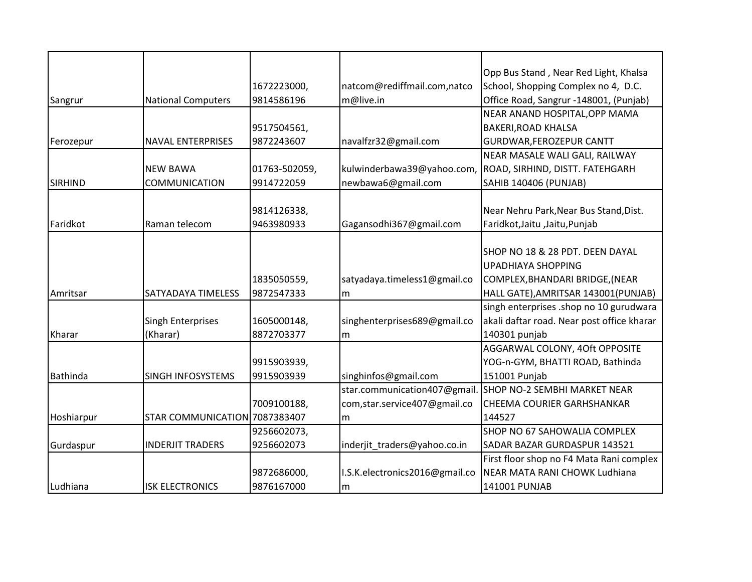|                |                               |               |                                | Opp Bus Stand, Near Red Light, Khalsa      |
|----------------|-------------------------------|---------------|--------------------------------|--------------------------------------------|
|                |                               | 1672223000,   | natcom@rediffmail.com,natco    | School, Shopping Complex no 4, D.C.        |
| Sangrur        | <b>National Computers</b>     | 9814586196    | m@live.in                      | Office Road, Sangrur -148001, (Punjab)     |
|                |                               |               |                                | NEAR ANAND HOSPITAL, OPP MAMA              |
|                |                               | 9517504561,   |                                | <b>BAKERI, ROAD KHALSA</b>                 |
| Ferozepur      | <b>NAVAL ENTERPRISES</b>      | 9872243607    | navalfzr32@gmail.com           | <b>GURDWAR, FEROZEPUR CANTT</b>            |
|                |                               |               |                                | NEAR MASALE WALI GALI, RAILWAY             |
|                | <b>NEW BAWA</b>               | 01763-502059, | kulwinderbawa39@yahoo.com,     | ROAD, SIRHIND, DISTT. FATEHGARH            |
| <b>SIRHIND</b> | <b>COMMUNICATION</b>          | 9914722059    | newbawa6@gmail.com             | <b>SAHIB 140406 (PUNJAB)</b>               |
|                |                               |               |                                |                                            |
|                |                               | 9814126338,   |                                | Near Nehru Park, Near Bus Stand, Dist.     |
| Faridkot       | Raman telecom                 | 9463980933    | Gagansodhi367@gmail.com        | Faridkot, Jaitu, Jaitu, Punjab             |
|                |                               |               |                                |                                            |
|                |                               |               |                                | SHOP NO 18 & 28 PDT. DEEN DAYAL            |
|                |                               |               |                                | <b>UPADHIAYA SHOPPING</b>                  |
|                |                               | 1835050559,   | satyadaya.timeless1@gmail.co   | COMPLEX, BHANDARI BRIDGE, (NEAR            |
| Amritsar       | SATYADAYA TIMELESS            | 9872547333    | m                              | HALL GATE), AMRITSAR 143001 (PUNJAB)       |
|                |                               |               |                                | singh enterprises .shop no 10 gurudwara    |
|                | <b>Singh Enterprises</b>      | 1605000148,   | singhenterprises689@gmail.co   | akali daftar road. Near post office kharar |
| Kharar         | (Kharar)                      | 8872703377    | m                              | 140301 punjab                              |
|                |                               |               |                                | AGGARWAL COLONY, 4Oft OPPOSITE             |
|                |                               | 9915903939,   |                                | YOG-n-GYM, BHATTI ROAD, Bathinda           |
| Bathinda       | SINGH INFOSYSTEMS             | 9915903939    | singhinfos@gmail.com           | 151001 Punjab                              |
|                |                               |               | star.communication407@gmail    | SHOP NO-2 SEMBHI MARKET NEAR               |
|                |                               | 7009100188,   | com, star.service 407@gmail.co | CHEEMA COURIER GARHSHANKAR                 |
| Hoshiarpur     | STAR COMMUNICATION 7087383407 |               | m                              | 144527                                     |
|                |                               | 9256602073,   |                                | <b>SHOP NO 67 SAHOWALIA COMPLEX</b>        |
| Gurdaspur      | <b>INDERJIT TRADERS</b>       | 9256602073    | inderjit_traders@yahoo.co.in   | SADAR BAZAR GURDASPUR 143521               |
|                |                               |               |                                | First floor shop no F4 Mata Rani complex   |
|                |                               | 9872686000,   | I.S.K.electronics2016@gmail.co | NEAR MATA RANI CHOWK Ludhiana              |
| Ludhiana       | <b>ISK ELECTRONICS</b>        | 9876167000    | m                              | 141001 PUNJAB                              |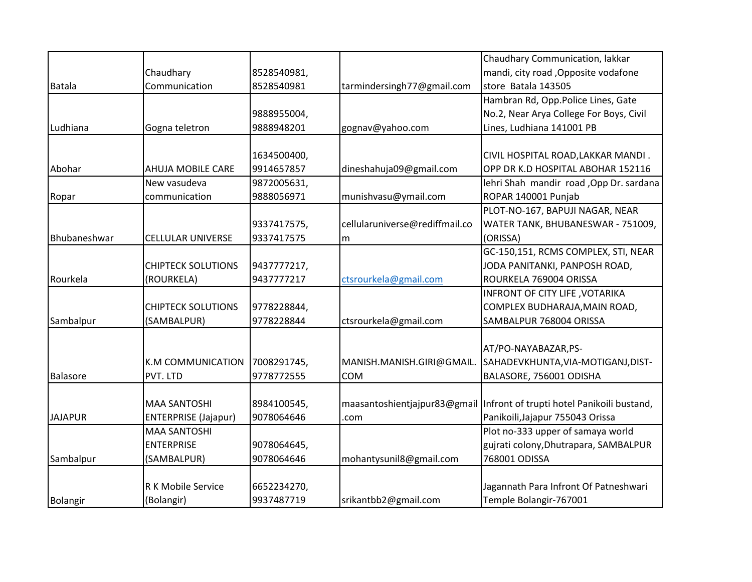|                |                             |             |                                | Chaudhary Communication, lakkar                                         |
|----------------|-----------------------------|-------------|--------------------------------|-------------------------------------------------------------------------|
|                | Chaudhary                   | 8528540981, |                                | mandi, city road , Opposite vodafone                                    |
| <b>Batala</b>  | Communication               | 8528540981  | tarmindersingh77@gmail.com     | store Batala 143505                                                     |
|                |                             |             |                                | Hambran Rd, Opp.Police Lines, Gate                                      |
|                |                             | 9888955004, |                                | No.2, Near Arya College For Boys, Civil                                 |
| Ludhiana       | Gogna teletron              | 9888948201  | gognav@yahoo.com               | Lines, Ludhiana 141001 PB                                               |
|                |                             |             |                                |                                                                         |
|                |                             | 1634500400, |                                | CIVIL HOSPITAL ROAD, LAKKAR MANDI.                                      |
| Abohar         | AHUJA MOBILE CARE           | 9914657857  | dineshahuja09@gmail.com        | OPP DR K.D HOSPITAL ABOHAR 152116                                       |
|                | New vasudeva                | 9872005631, |                                | lehri Shah mandir road , Opp Dr. sardana                                |
| Ropar          | communication               | 9888056971  | munishvasu@ymail.com           | ROPAR 140001 Punjab                                                     |
|                |                             |             |                                | PLOT-NO-167, BAPUJI NAGAR, NEAR                                         |
|                |                             | 9337417575, | cellularuniverse@rediffmail.co | WATER TANK, BHUBANESWAR - 751009,                                       |
| Bhubaneshwar   | <b>CELLULAR UNIVERSE</b>    | 9337417575  | m                              | (ORISSA)                                                                |
|                |                             |             |                                | GC-150,151, RCMS COMPLEX, STI, NEAR                                     |
|                | <b>CHIPTECK SOLUTIONS</b>   | 9437777217, |                                | JODA PANITANKI, PANPOSH ROAD,                                           |
| Rourkela       | (ROURKELA)                  | 9437777217  | ctsrourkela@gmail.com          | ROURKELA 769004 ORISSA                                                  |
|                |                             |             |                                | INFRONT OF CITY LIFE, VOTARIKA                                          |
|                | <b>CHIPTECK SOLUTIONS</b>   | 9778228844, |                                | COMPLEX BUDHARAJA, MAIN ROAD,                                           |
| Sambalpur      | (SAMBALPUR)                 | 9778228844  | ctsrourkela@gmail.com          | SAMBALPUR 768004 ORISSA                                                 |
|                |                             |             |                                |                                                                         |
|                |                             |             |                                | AT/PO-NAYABAZAR, PS-                                                    |
|                | K.M COMMUNICATION           | 7008291745, | MANISH.MANISH.GIRI@GMAIL.      | SAHADEVKHUNTA, VIA-MOTIGANJ, DIST-                                      |
| Balasore       | PVT. LTD                    | 9778772555  | <b>COM</b>                     | BALASORE, 756001 ODISHA                                                 |
|                |                             |             |                                |                                                                         |
|                | <b>MAA SANTOSHI</b>         | 8984100545, |                                | maasantoshientjajpur83@gmail Infront of trupti hotel Panikoili bustand, |
| <b>JAJAPUR</b> | <b>ENTERPRISE (Jajapur)</b> | 9078064646  | .com                           | Panikoili, Jajapur 755043 Orissa                                        |
|                | <b>MAA SANTOSHI</b>         |             |                                | Plot no-333 upper of samaya world                                       |
|                | <b>ENTERPRISE</b>           | 9078064645, |                                | gujrati colony, Dhutrapara, SAMBALPUR                                   |
| Sambalpur      | (SAMBALPUR)                 | 9078064646  | mohantysunil8@gmail.com        | 768001 ODISSA                                                           |
|                |                             |             |                                |                                                                         |
|                | R K Mobile Service          | 6652234270, |                                | Jagannath Para Infront Of Patneshwari                                   |
| Bolangir       | (Bolangir)                  | 9937487719  | srikantbb2@gmail.com           | Temple Bolangir-767001                                                  |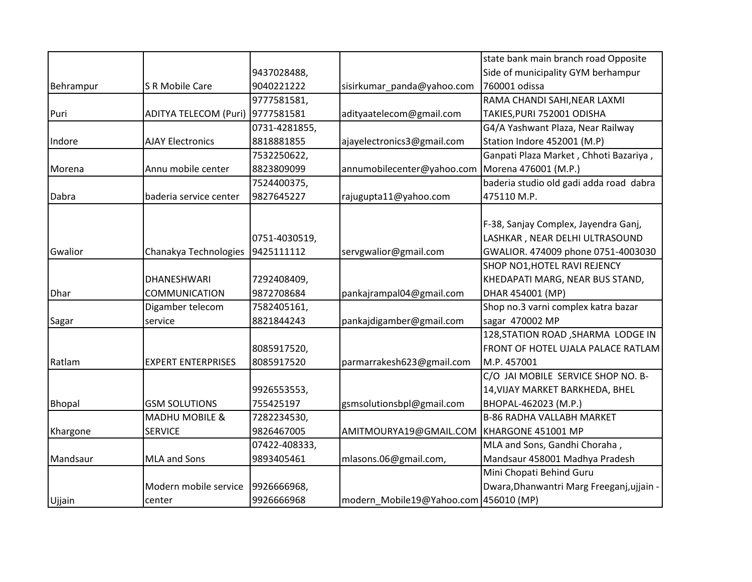|               |                              |               |                                       | state bank main branch road Opposite      |
|---------------|------------------------------|---------------|---------------------------------------|-------------------------------------------|
|               |                              | 9437028488,   |                                       | Side of municipality GYM berhampur        |
| Behrampur     | S R Mobile Care              | 9040221222    | sisirkumar_panda@yahoo.com            | 760001 odissa                             |
|               |                              | 9777581581,   |                                       | RAMA CHANDI SAHI, NEAR LAXMI              |
| Puri          | <b>ADITYA TELECOM (Puri)</b> | 9777581581    | adityaatelecom@gmail.com              | TAKIES, PURI 752001 ODISHA                |
|               |                              | 0731-4281855, |                                       | G4/A Yashwant Plaza, Near Railway         |
| Indore        | <b>AJAY Electronics</b>      | 8818881855    | ajayelectronics3@gmail.com            | Station Indore 452001 (M.P)               |
|               |                              | 7532250622,   |                                       | Ganpati Plaza Market, Chhoti Bazariya,    |
| Morena        | Annu mobile center           | 8823809099    | annumobilecenter@yahoo.com            | Morena 476001 (M.P.)                      |
|               |                              | 7524400375,   |                                       | baderia studio old gadi adda road dabra   |
| Dabra         | baderia service center       | 9827645227    | rajugupta11@yahoo.com                 | 475110 M.P.                               |
|               |                              |               |                                       |                                           |
|               |                              |               |                                       | F-38, Sanjay Complex, Jayendra Ganj,      |
|               |                              | 0751-4030519, |                                       | LASHKAR, NEAR DELHI ULTRASOUND            |
| Gwalior       | Chanakya Technologies        | 9425111112    | servgwalior@gmail.com                 | GWALIOR. 474009 phone 0751-4003030        |
|               |                              |               |                                       | SHOP NO1, HOTEL RAVI REJENCY              |
|               | <b>DHANESHWARI</b>           | 7292408409,   |                                       | KHEDAPATI MARG, NEAR BUS STAND,           |
| Dhar          | COMMUNICATION                | 9872708684    | pankajrampal04@gmail.com              | DHAR 454001 (MP)                          |
|               | Digamber telecom             | 7582405161,   |                                       | Shop no.3 varni complex katra bazar       |
| Sagar         | service                      | 8821844243    | pankajdigamber@gmail.com              | sagar 470002 MP                           |
|               |                              |               |                                       | 128, STATION ROAD, SHARMA LODGE IN        |
|               |                              | 8085917520,   |                                       | <b>FRONT OF HOTEL UJALA PALACE RATLAM</b> |
| Ratlam        | <b>EXPERT ENTERPRISES</b>    | 8085917520    | parmarrakesh623@gmail.com             | M.P. 457001                               |
|               |                              |               |                                       | C/O JAI MOBILE SERVICE SHOP NO. B-        |
|               |                              | 9926553553,   |                                       | 14, VIJAY MARKET BARKHEDA, BHEL           |
| <b>Bhopal</b> | <b>GSM SOLUTIONS</b>         | 755425197     | gsmsolutionsbpl@gmail.com             | BHOPAL-462023 (M.P.)                      |
|               | <b>MADHU MOBILE &amp;</b>    | 7282234530,   |                                       | <b>B-86 RADHA VALLABH MARKET</b>          |
| Khargone      | <b>SERVICE</b>               | 9826467005    | AMITMOURYA19@GMAIL.COM                | KHARGONE 451001 MP                        |
|               |                              | 07422-408333, |                                       | MLA and Sons, Gandhi Choraha,             |
| Mandsaur      | MLA and Sons                 | 9893405461    | mlasons.06@gmail.com,                 | Mandsaur 458001 Madhya Pradesh            |
|               |                              |               |                                       | Mini Chopati Behind Guru                  |
|               | Modern mobile service        | 9926666968,   |                                       | Dwara, Dhanwantri Marg Freeganj, ujjain - |
| Ujjain        | center                       | 9926666968    | modern Mobile19@Yahoo.com 456010 (MP) |                                           |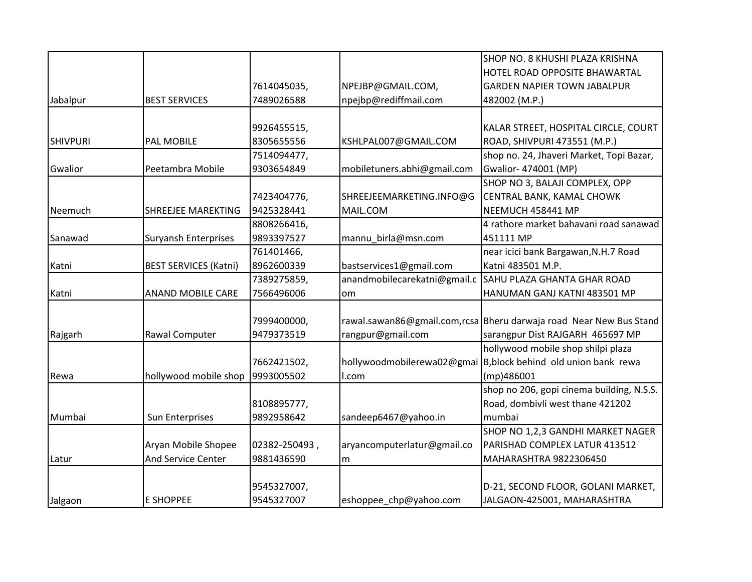|                 |                              |               |                              | SHOP NO. 8 KHUSHI PLAZA KRISHNA                                    |
|-----------------|------------------------------|---------------|------------------------------|--------------------------------------------------------------------|
|                 |                              |               |                              | HOTEL ROAD OPPOSITE BHAWARTAL                                      |
|                 |                              | 7614045035,   | NPEJBP@GMAIL.COM,            | <b>GARDEN NAPIER TOWN JABALPUR</b>                                 |
| Jabalpur        | <b>BEST SERVICES</b>         | 7489026588    | npejbp@rediffmail.com        | 482002 (M.P.)                                                      |
|                 |                              |               |                              |                                                                    |
|                 |                              | 9926455515,   |                              | KALAR STREET, HOSPITAL CIRCLE, COURT                               |
| <b>SHIVPURI</b> | PAL MOBILE                   | 8305655556    | KSHLPAL007@GMAIL.COM         | ROAD, SHIVPURI 473551 (M.P.)                                       |
|                 |                              | 7514094477,   |                              | shop no. 24, Jhaveri Market, Topi Bazar,                           |
| Gwalior         | Peetambra Mobile             | 9303654849    | mobiletuners.abhi@gmail.com  | Gwalior- 474001 (MP)                                               |
|                 |                              |               |                              | SHOP NO 3, BALAJI COMPLEX, OPP                                     |
|                 |                              | 7423404776,   | SHREEJEEMARKETING.INFO@G     | CENTRAL BANK, KAMAL CHOWK                                          |
| Neemuch         | <b>SHREEJEE MAREKTING</b>    | 9425328441    | MAIL.COM                     | NEEMUCH 458441 MP                                                  |
|                 |                              | 8808266416,   |                              | 4 rathore market bahavani road sanawad                             |
| Sanawad         | <b>Suryansh Enterprises</b>  | 9893397527    | mannu_birla@msn.com          | 451111 MP                                                          |
|                 |                              | 761401466,    |                              | near icici bank Bargawan, N.H.7 Road                               |
| Katni           | <b>BEST SERVICES (Katni)</b> | 8962600339    | bastservices1@gmail.com      | Katni 483501 M.P.                                                  |
|                 |                              | 7389275859,   | anandmobilecarekatni@gmail.c | SAHU PLAZA GHANTA GHAR ROAD                                        |
| Katni           | <b>ANAND MOBILE CARE</b>     | 7566496006    | om                           | HANUMAN GANJ KATNI 483501 MP                                       |
|                 |                              |               |                              |                                                                    |
|                 |                              | 7999400000,   |                              | rawal.sawan86@gmail.com,rcsa Bheru darwaja road Near New Bus Stand |
| Rajgarh         | Rawal Computer               | 9479373519    | rangpur@gmail.com            | sarangpur Dist RAJGARH 465697 MP                                   |
|                 |                              |               |                              | hollywood mobile shop shilpi plaza                                 |
|                 |                              | 7662421502,   | hollywoodmobilerewa02@gmai   | B, block behind old union bank rewa                                |
| Rewa            | hollywood mobile shop        | 9993005502    | I.com                        | (mp)486001                                                         |
|                 |                              |               |                              | shop no 206, gopi cinema building, N.S.S.                          |
|                 |                              | 8108895777,   |                              | Road, dombivli west thane 421202                                   |
| Mumbai          | Sun Enterprises              | 9892958642    | sandeep6467@yahoo.in         | mumbai                                                             |
|                 |                              |               |                              | SHOP NO 1,2,3 GANDHI MARKET NAGER                                  |
|                 | Aryan Mobile Shopee          | 02382-250493, | aryancomputerlatur@gmail.co  | PARISHAD COMPLEX LATUR 413512                                      |
| Latur           | And Service Center           | 9881436590    | m                            | MAHARASHTRA 9822306450                                             |
|                 |                              |               |                              |                                                                    |
|                 |                              | 9545327007,   |                              | D-21, SECOND FLOOR, GOLANI MARKET,                                 |
| Jalgaon         | <b>E SHOPPEE</b>             | 9545327007    | eshoppee chp@yahoo.com       | JALGAON-425001, MAHARASHTRA                                        |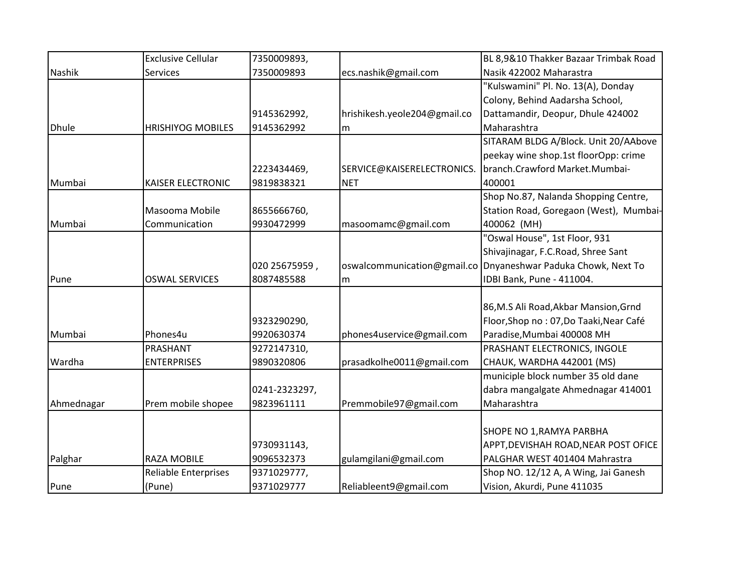|              | <b>Exclusive Cellular</b>   | 7350009893,   |                              | BL 8,9&10 Thakker Bazaar Trimbak Road    |
|--------------|-----------------------------|---------------|------------------------------|------------------------------------------|
| Nashik       | <b>Services</b>             | 7350009893    | ecs.nashik@gmail.com         | Nasik 422002 Maharastra                  |
|              |                             |               |                              | "Kulswamini" Pl. No. 13(A), Donday       |
|              |                             |               |                              | Colony, Behind Aadarsha School,          |
|              |                             | 9145362992,   | hrishikesh.yeole204@gmail.co | Dattamandir, Deopur, Dhule 424002        |
| <b>Dhule</b> | <b>HRISHIYOG MOBILES</b>    | 9145362992    | m                            | Maharashtra                              |
|              |                             |               |                              | SITARAM BLDG A/Block. Unit 20/AAbove     |
|              |                             |               |                              | peekay wine shop.1st floorOpp: crime     |
|              |                             | 2223434469,   | SERVICE@KAISERELECTRONICS.   | branch.Crawford Market.Mumbai-           |
| Mumbai       | KAISER ELECTRONIC           | 9819838321    | <b>NET</b>                   | 400001                                   |
|              |                             |               |                              | Shop No.87, Nalanda Shopping Centre,     |
|              | Masooma Mobile              | 8655666760,   |                              | Station Road, Goregaon (West), Mumbai-   |
| Mumbai       | Communication               | 9930472999    | masoomamc@gmail.com          | 400062 (MH)                              |
|              |                             |               |                              | "Oswal House", 1st Floor, 931            |
|              |                             |               |                              | Shivajinagar, F.C.Road, Shree Sant       |
|              |                             | 020 25675959, | oswalcommunication@gmail.co  | Dnyaneshwar Paduka Chowk, Next To        |
| Pune         | <b>OSWAL SERVICES</b>       | 8087485588    | m                            | IDBI Bank, Pune - 411004.                |
|              |                             |               |                              |                                          |
|              |                             |               |                              | 86, M.S Ali Road, Akbar Mansion, Grnd    |
|              |                             | 9323290290,   |                              | Floor, Shop no : 07, Do Taaki, Near Café |
| Mumbai       | Phones4u                    | 9920630374    | phones4uservice@gmail.com    | Paradise, Mumbai 400008 MH               |
|              | PRASHANT                    | 9272147310,   |                              | PRASHANT ELECTRONICS, INGOLE             |
| Wardha       | <b>ENTERPRISES</b>          | 9890320806    | prasadkolhe0011@gmail.com    | CHAUK, WARDHA 442001 (MS)                |
|              |                             |               |                              | municiple block number 35 old dane       |
|              |                             | 0241-2323297, |                              | dabra mangalgate Ahmednagar 414001       |
| Ahmednagar   | Prem mobile shopee          | 9823961111    | Premmobile97@gmail.com       | Maharashtra                              |
|              |                             |               |                              |                                          |
|              |                             |               |                              | SHOPE NO 1, RAMYA PARBHA                 |
|              |                             | 9730931143,   |                              | APPT, DEVISHAH ROAD, NEAR POST OFICE     |
| Palghar      | <b>RAZA MOBILE</b>          | 9096532373    | gulamgilani@gmail.com        | PALGHAR WEST 401404 Mahrastra            |
|              | <b>Reliable Enterprises</b> | 9371029777,   |                              | Shop NO. 12/12 A, A Wing, Jai Ganesh     |
| Pune         | (Pune)                      | 9371029777    | Reliableent9@gmail.com       | Vision, Akurdi, Pune 411035              |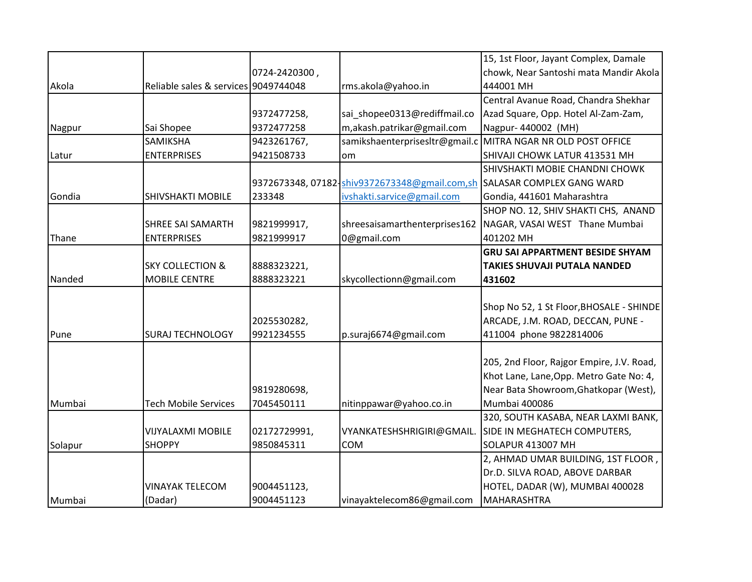|         |                                      |               |                                               | 15, 1st Floor, Jayant Complex, Damale                        |
|---------|--------------------------------------|---------------|-----------------------------------------------|--------------------------------------------------------------|
|         |                                      | 0724-2420300, |                                               | chowk, Near Santoshi mata Mandir Akola                       |
| Akola   | Reliable sales & services 9049744048 |               | rms.akola@yahoo.in                            | 444001 MH                                                    |
|         |                                      |               |                                               | Central Avanue Road, Chandra Shekhar                         |
|         |                                      | 9372477258,   | sai shopee0313@rediffmail.co                  | Azad Square, Opp. Hotel Al-Zam-Zam,                          |
| Nagpur  | Sai Shopee                           | 9372477258    | m,akash.patrikar@gmail.com                    | Nagpur-440002 (MH)                                           |
|         | SAMIKSHA                             | 9423261767,   |                                               | samikshaenterprisesltr@gmail.c MITRA NGAR NR OLD POST OFFICE |
| Latur   | <b>ENTERPRISES</b>                   | 9421508733    | om                                            | SHIVAJI CHOWK LATUR 413531 MH                                |
|         |                                      |               |                                               | SHIVSHAKTI MOBIE CHANDNI CHOWK                               |
|         |                                      |               | 9372673348, 07182-shiv9372673348@gmail.com,sh | <b>SALASAR COMPLEX GANG WARD</b>                             |
| Gondia  | SHIVSHAKTI MOBILE                    | 233348        | ivshakti.sarvice@gmail.com                    | Gondia, 441601 Maharashtra                                   |
|         |                                      |               |                                               | SHOP NO. 12, SHIV SHAKTI CHS, ANAND                          |
|         | <b>SHREE SAI SAMARTH</b>             | 9821999917,   | shreesaisamarthenterprises162                 | NAGAR, VASAI WEST Thane Mumbai                               |
| Thane   | <b>ENTERPRISES</b>                   | 9821999917    | 0@gmail.com                                   | 401202 MH                                                    |
|         |                                      |               |                                               | <b>GRU SAI APPARTMENT BESIDE SHYAM</b>                       |
|         | <b>SKY COLLECTION &amp;</b>          | 8888323221,   |                                               | <b>TAKIES SHUVAJI PUTALA NANDED</b>                          |
| Nanded  | MOBILE CENTRE                        | 8888323221    | skycollectionn@gmail.com                      | 431602                                                       |
|         |                                      |               |                                               |                                                              |
|         |                                      |               |                                               | Shop No 52, 1 St Floor, BHOSALE - SHINDE                     |
|         |                                      | 2025530282,   |                                               | ARCADE, J.M. ROAD, DECCAN, PUNE -                            |
| Pune    | <b>SURAJ TECHNOLOGY</b>              | 9921234555    | p.suraj6674@gmail.com                         | 411004 phone 9822814006                                      |
|         |                                      |               |                                               |                                                              |
|         |                                      |               |                                               | 205, 2nd Floor, Rajgor Empire, J.V. Road,                    |
|         |                                      |               |                                               | Khot Lane, Lane, Opp. Metro Gate No: 4,                      |
|         |                                      | 9819280698,   |                                               | Near Bata Showroom, Ghatkopar (West),                        |
| Mumbai  | <b>Tech Mobile Services</b>          | 7045450111    | nitinppawar@yahoo.co.in                       | <b>Mumbai 400086</b>                                         |
|         |                                      |               |                                               | 320, SOUTH KASABA, NEAR LAXMI BANK,                          |
|         | <b>VIJYALAXMI MOBILE</b>             | 02172729991,  | VYANKATESHSHRIGIRI@GMAIL.                     | SIDE IN MEGHATECH COMPUTERS,                                 |
| Solapur | <b>SHOPPY</b>                        | 9850845311    | <b>COM</b>                                    | SOLAPUR 413007 MH                                            |
|         |                                      |               |                                               | 2, AHMAD UMAR BUILDING, 1ST FLOOR,                           |
|         |                                      |               |                                               | Dr.D. SILVA ROAD, ABOVE DARBAR                               |
|         | <b>VINAYAK TELECOM</b>               | 9004451123,   |                                               | HOTEL, DADAR (W), MUMBAI 400028                              |
| Mumbai  | (Dadar)                              | 9004451123    | vinayaktelecom86@gmail.com                    | MAHARASHTRA                                                  |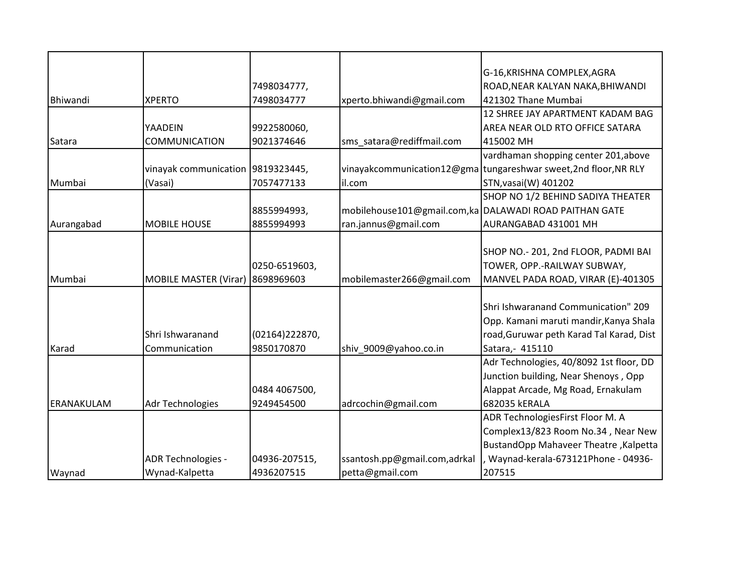|            |                                   |                |                              | G-16, KRISHNA COMPLEX, AGRA                                     |
|------------|-----------------------------------|----------------|------------------------------|-----------------------------------------------------------------|
|            |                                   | 7498034777,    |                              | ROAD, NEAR KALYAN NAKA, BHIWANDI                                |
| Bhiwandi   | <b>XPERTO</b>                     | 7498034777     | xperto.bhiwandi@gmail.com    | 421302 Thane Mumbai                                             |
|            |                                   |                |                              | 12 SHREE JAY APARTMENT KADAM BAG                                |
|            | YAADEIN                           | 9922580060,    |                              | AREA NEAR OLD RTO OFFICE SATARA                                 |
| Satara     | <b>COMMUNICATION</b>              | 9021374646     | sms satara@rediffmail.com    | 415002 MH                                                       |
|            |                                   |                |                              | vardhaman shopping center 201, above                            |
|            | vinayak communication 9819323445, |                |                              | vinayakcommunication12@gma tungareshwar sweet,2nd floor, NR RLY |
| Mumbai     | (Vasai)                           | 7057477133     | il.com                       | STN, vasai (W) 401202                                           |
|            |                                   |                |                              | SHOP NO 1/2 BEHIND SADIYA THEATER                               |
|            |                                   | 8855994993,    |                              | mobilehouse101@gmail.com,ka DALAWADI ROAD PAITHAN GATE          |
| Aurangabad | <b>MOBILE HOUSE</b>               | 8855994993     | ran.jannus@gmail.com         | AURANGABAD 431001 MH                                            |
|            |                                   |                |                              |                                                                 |
|            |                                   |                |                              | SHOP NO.- 201, 2nd FLOOR, PADMI BAI                             |
|            |                                   | 0250-6519603,  |                              | TOWER, OPP.-RAILWAY SUBWAY,                                     |
| Mumbai     | <b>MOBILE MASTER (Virar)</b>      | 8698969603     | mobilemaster266@gmail.com    | MANVEL PADA ROAD, VIRAR (E)-401305                              |
|            |                                   |                |                              |                                                                 |
|            |                                   |                |                              | Shri Ishwaranand Communication" 209                             |
|            |                                   |                |                              | Opp. Kamani maruti mandir, Kanya Shala                          |
|            | Shri Ishwaranand                  | (02164)222870, |                              | road, Guruwar peth Karad Tal Karad, Dist                        |
| Karad      | Communication                     | 9850170870     | shiv 9009@yahoo.co.in        | Satara, - 415110                                                |
|            |                                   |                |                              | Adr Technologies, 40/8092 1st floor, DD                         |
|            |                                   |                |                              | Junction building, Near Shenoys, Opp                            |
|            |                                   | 0484 4067500,  |                              | Alappat Arcade, Mg Road, Ernakulam                              |
| ERANAKULAM | Adr Technologies                  | 9249454500     | adrcochin@gmail.com          | 682035 kERALA                                                   |
|            |                                   |                |                              | ADR TechnologiesFirst Floor M. A                                |
|            |                                   |                |                              | Complex13/823 Room No.34, Near New                              |
|            |                                   |                |                              | BustandOpp Mahaveer Theatre, Kalpetta                           |
|            | ADR Technologies -                | 04936-207515,  | ssantosh.pp@gmail.com,adrkal | Waynad-kerala-673121Phone - 04936-                              |
| Waynad     | Wynad-Kalpetta                    | 4936207515     | petta@gmail.com              | 207515                                                          |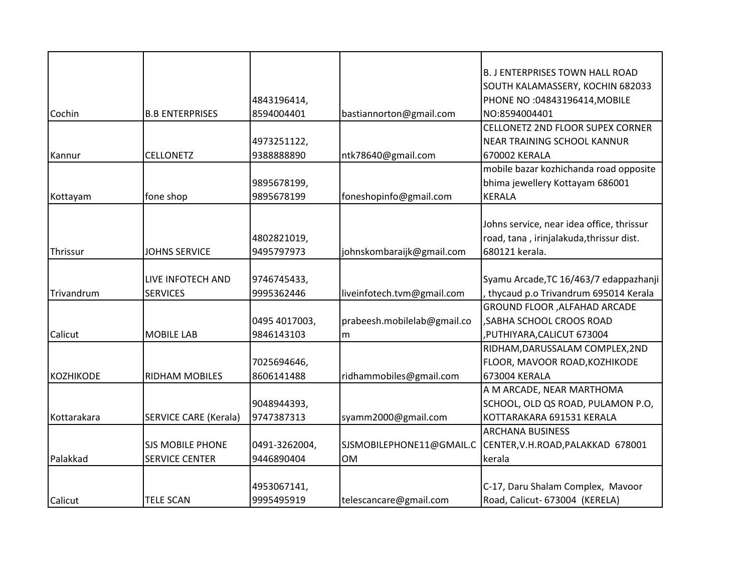|                  |                              |               |                             | <b>B. J ENTERPRISES TOWN HALL ROAD</b>    |
|------------------|------------------------------|---------------|-----------------------------|-------------------------------------------|
|                  |                              |               |                             | SOUTH KALAMASSERY, KOCHIN 682033          |
|                  |                              | 4843196414,   |                             | PHONE NO:04843196414, MOBILE              |
| Cochin           | <b>B.B ENTERPRISES</b>       | 8594004401    | bastiannorton@gmail.com     | NO:8594004401                             |
|                  |                              |               |                             | CELLONETZ 2ND FLOOR SUPEX CORNER          |
|                  |                              | 4973251122,   |                             | <b>NEAR TRAINING SCHOOL KANNUR</b>        |
| Kannur           | <b>CELLONETZ</b>             | 938888890     | ntk78640@gmail.com          | 670002 KERALA                             |
|                  |                              |               |                             | mobile bazar kozhichanda road opposite    |
|                  |                              | 9895678199,   |                             | bhima jewellery Kottayam 686001           |
| Kottayam         | fone shop                    | 9895678199    | foneshopinfo@gmail.com      | <b>KERALA</b>                             |
|                  |                              |               |                             |                                           |
|                  |                              |               |                             | Johns service, near idea office, thrissur |
|                  |                              | 4802821019,   |                             | road, tana, irinjalakuda, thrissur dist.  |
| Thrissur         | <b>JOHNS SERVICE</b>         | 9495797973    | johnskombaraijk@gmail.com   | 680121 kerala.                            |
|                  |                              |               |                             |                                           |
|                  | LIVE INFOTECH AND            | 9746745433,   |                             | Syamu Arcade, TC 16/463/7 edappazhanji    |
| Trivandrum       | <b>SERVICES</b>              | 9995362446    | liveinfotech.tvm@gmail.com  | thycaud p.o Trivandrum 695014 Kerala      |
|                  |                              |               |                             | GROUND FLOOR , ALFAHAD ARCADE             |
|                  |                              | 0495 4017003, | prabeesh.mobilelab@gmail.co | , SABHA SCHOOL CROOS ROAD                 |
| Calicut          | <b>MOBILE LAB</b>            | 9846143103    | m                           | PUTHIYARA, CALICUT 673004                 |
|                  |                              |               |                             | RIDHAM, DARUSSALAM COMPLEX, 2ND           |
|                  |                              | 7025694646,   |                             | FLOOR, MAVOOR ROAD, KOZHIKODE             |
| <b>KOZHIKODE</b> | <b>RIDHAM MOBILES</b>        | 8606141488    | ridhammobiles@gmail.com     | 673004 KERALA                             |
|                  |                              |               |                             | A M ARCADE, NEAR MARTHOMA                 |
|                  |                              | 9048944393,   |                             | SCHOOL, OLD QS ROAD, PULAMON P.O,         |
| Kottarakara      | <b>SERVICE CARE (Kerala)</b> | 9747387313    | syamm2000@gmail.com         | KOTTARAKARA 691531 KERALA                 |
|                  |                              |               |                             | <b>ARCHANA BUSINESS</b>                   |
|                  | <b>SJS MOBILE PHONE</b>      | 0491-3262004, | SJSMOBILEPHONE11@GMAIL.C    | CENTER, V.H.ROAD, PALAKKAD 678001         |
| Palakkad         | <b>SERVICE CENTER</b>        | 9446890404    | <b>OM</b>                   | kerala                                    |
|                  |                              |               |                             |                                           |
|                  |                              | 4953067141,   |                             | C-17, Daru Shalam Complex, Mavoor         |
| Calicut          | <b>TELE SCAN</b>             | 9995495919    | telescancare@gmail.com      | Road, Calicut- 673004 (KERELA)            |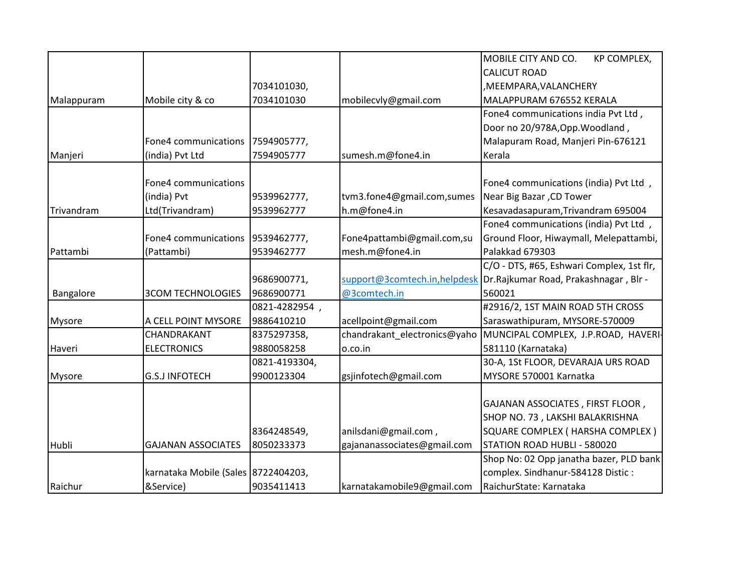|               |                                     |               |                              | MOBILE CITY AND CO.<br>KP COMPLEX,                                 |
|---------------|-------------------------------------|---------------|------------------------------|--------------------------------------------------------------------|
|               |                                     |               |                              | <b>CALICUT ROAD</b>                                                |
|               |                                     | 7034101030,   |                              | , MEEMPARA, VALANCHERY                                             |
| Malappuram    | Mobile city & co                    | 7034101030    | mobilecvly@gmail.com         | MALAPPURAM 676552 KERALA                                           |
|               |                                     |               |                              | Fone4 communications india Pvt Ltd,                                |
|               |                                     |               |                              | Door no 20/978A, Opp. Woodland,                                    |
|               | Fone4 communications                | 7594905777,   |                              | Malapuram Road, Manjeri Pin-676121                                 |
| Manjeri       | (india) Pvt Ltd                     | 7594905777    | sumesh.m@fone4.in            | Kerala                                                             |
|               |                                     |               |                              |                                                                    |
|               | Fone4 communications                |               |                              | Fone4 communications (india) Pvt Ltd,                              |
|               | (india) Pvt                         | 9539962777,   | tvm3.fone4@gmail.com,sumes   | Near Big Bazar, CD Tower                                           |
| Trivandram    | Ltd(Trivandram)                     | 9539962777    | h.m@fone4.in                 | Kesavadasapuram, Trivandram 695004                                 |
|               |                                     |               |                              | Fone4 communications (india) Pvt Ltd,                              |
|               | Fone4 communications                | 9539462777,   | Fone4pattambi@gmail.com,su   | Ground Floor, Hiwaymall, Melepattambi,                             |
| Pattambi      | (Pattambi)                          | 9539462777    | mesh.m@fone4.in              | Palakkad 679303                                                    |
|               |                                     |               |                              | C/O - DTS, #65, Eshwari Complex, 1st flr,                          |
|               |                                     | 9686900771,   |                              | support@3comtech.in,helpdesk Dr.Rajkumar Road, Prakashnagar, Blr - |
| Bangalore     | <b>3COM TECHNOLOGIES</b>            | 9686900771    | @3comtech.in                 | 560021                                                             |
|               |                                     | 0821-4282954, |                              | #2916/2, 1ST MAIN ROAD 5TH CROSS                                   |
| <b>Mysore</b> | A CELL POINT MYSORE                 | 9886410210    | acellpoint@gmail.com         | Saraswathipuram, MYSORE-570009                                     |
|               | CHANDRAKANT                         | 8375297358,   | chandrakant electronics@yaho | MUNCIPAL COMPLEX, J.P.ROAD, HAVERI-                                |
| Haveri        | <b>ELECTRONICS</b>                  | 9880058258    | o.co.in                      | 581110 (Karnataka)                                                 |
|               |                                     | 0821-4193304, |                              | 30-A, 1St FLOOR, DEVARAJA URS ROAD                                 |
| Mysore        | <b>G.S.J INFOTECH</b>               | 9900123304    | gsjinfotech@gmail.com        | MYSORE 570001 Karnatka                                             |
|               |                                     |               |                              |                                                                    |
|               |                                     |               |                              | GAJANAN ASSOCIATES, FIRST FLOOR,                                   |
|               |                                     |               |                              | SHOP NO. 73, LAKSHI BALAKRISHNA                                    |
|               |                                     | 8364248549,   | anilsdani@gmail.com,         | SQUARE COMPLEX ( HARSHA COMPLEX )                                  |
| Hubli         | <b>GAJANAN ASSOCIATES</b>           | 8050233373    | gajananassociates@gmail.com  | STATION ROAD HUBLI - 580020                                        |
|               |                                     |               |                              | Shop No: 02 Opp janatha bazer, PLD bank                            |
|               | karnataka Mobile (Sales 8722404203, |               |                              | complex. Sindhanur-584128 Distic:                                  |
| Raichur       | &Service)                           | 9035411413    | karnatakamobile9@gmail.com   | RaichurState: Karnataka                                            |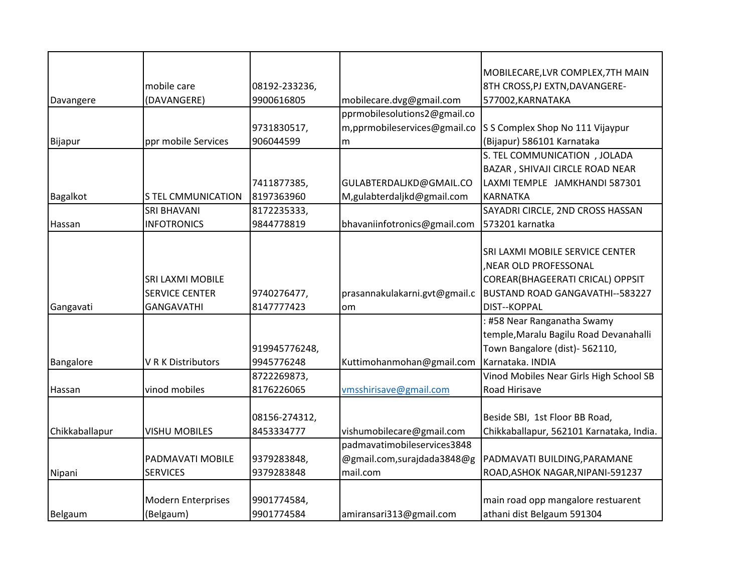|                |                           |               |                               | MOBILECARE, LVR COMPLEX, 7TH MAIN        |
|----------------|---------------------------|---------------|-------------------------------|------------------------------------------|
|                | mobile care               | 08192-233236, |                               | 8TH CROSS, PJ EXTN, DAVANGERE-           |
| Davangere      | (DAVANGERE)               | 9900616805    | mobilecare.dvg@gmail.com      | 577002, KARNATAKA                        |
|                |                           |               | pprmobilesolutions2@gmail.co  |                                          |
|                |                           | 9731830517,   | m,pprmobileservices@gmail.co  | S S Complex Shop No 111 Vijaypur         |
| Bijapur        | ppr mobile Services       | 906044599     | m                             | (Bijapur) 586101 Karnataka               |
|                |                           |               |                               | S. TEL COMMUNICATION , JOLADA            |
|                |                           |               |                               | BAZAR, SHIVAJI CIRCLE ROAD NEAR          |
|                |                           | 7411877385,   | GULABTERDALJKD@GMAIL.CO       | LAXMI TEMPLE JAMKHANDI 587301            |
| Bagalkot       | <b>S TEL CMMUNICATION</b> | 8197363960    | M,gulabterdaljkd@gmail.com    | <b>KARNATKA</b>                          |
|                | SRI BHAVANI               | 8172235333,   |                               | SAYADRI CIRCLE, 2ND CROSS HASSAN         |
| Hassan         | <b>INFOTRONICS</b>        | 9844778819    | bhavaniinfotronics@gmail.com  | 573201 karnatka                          |
|                |                           |               |                               |                                          |
|                |                           |               |                               | SRI LAXMI MOBILE SERVICE CENTER          |
|                |                           |               |                               | NEAR OLD PROFESSONAL                     |
|                | <b>SRI LAXMI MOBILE</b>   |               |                               | COREAR(BHAGEERATI CRICAL) OPPSIT         |
|                | <b>SERVICE CENTER</b>     | 9740276477,   | prasannakulakarni.gvt@gmail.c | BUSTAND ROAD GANGAVATHI--583227          |
| Gangavati      | <b>GANGAVATHI</b>         | 8147777423    | om                            | DIST--KOPPAL                             |
|                |                           |               |                               | : #58 Near Ranganatha Swamy              |
|                |                           |               |                               | temple, Maralu Bagilu Road Devanahalli   |
|                |                           | 919945776248, |                               | Town Bangalore (dist)- 562110,           |
| Bangalore      | V R K Distributors        | 9945776248    | Kuttimohanmohan@gmail.com     | Karnataka. INDIA                         |
|                |                           | 8722269873,   |                               | Vinod Mobiles Near Girls High School SB  |
| Hassan         | vinod mobiles             | 8176226065    | vmsshirisave@gmail.com        | Road Hirisave                            |
|                |                           |               |                               |                                          |
|                |                           | 08156-274312, |                               | Beside SBI, 1st Floor BB Road,           |
| Chikkaballapur | <b>VISHU MOBILES</b>      | 8453334777    | vishumobilecare@gmail.com     | Chikkaballapur, 562101 Karnataka, India. |
|                |                           |               | padmavatimobileservices3848   |                                          |
|                | PADMAVATI MOBILE          | 9379283848,   | @gmail.com,surajdada3848@g    | PADMAVATI BUILDING, PARAMANE             |
| Nipani         | <b>SERVICES</b>           | 9379283848    | mail.com                      | ROAD, ASHOK NAGAR, NIPANI-591237         |
|                |                           |               |                               |                                          |
|                | <b>Modern Enterprises</b> | 9901774584,   |                               | main road opp mangalore restuarent       |
| Belgaum        | (Belgaum)                 | 9901774584    | amiransari313@gmail.com       | athani dist Belgaum 591304               |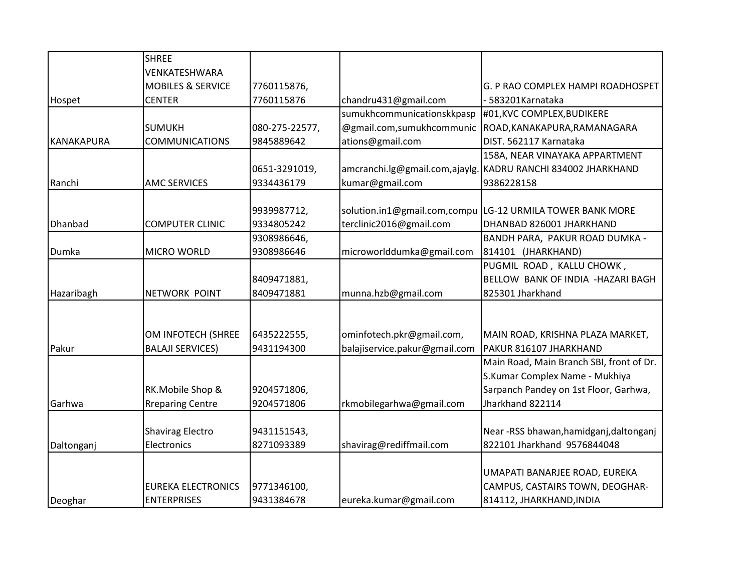|            | <b>SHREE</b>                 |                |                               |                                          |
|------------|------------------------------|----------------|-------------------------------|------------------------------------------|
|            | VENKATESHWARA                |                |                               |                                          |
|            | <b>MOBILES &amp; SERVICE</b> | 7760115876,    |                               | G. P RAO COMPLEX HAMPI ROADHOSPET        |
| Hospet     | <b>CENTER</b>                | 7760115876     | chandru431@gmail.com          | 583201Karnataka                          |
|            |                              |                | sumukhcommunicationskkpasp    | #01, KVC COMPLEX, BUDIKERE               |
|            | <b>SUMUKH</b>                | 080-275-22577, | @gmail.com,sumukhcommunic     | ROAD, KANAKAPURA, RAMANAGARA             |
| KANAKAPURA | <b>COMMUNICATIONS</b>        | 9845889642     | ations@gmail.com              | DIST. 562117 Karnataka                   |
|            |                              |                |                               | 158A, NEAR VINAYAKA APPARTMENT           |
|            |                              | 0651-3291019,  | amcranchi.lg@gmail.com,ajaylg | KADRU RANCHI 834002 JHARKHAND            |
| Ranchi     | <b>AMC SERVICES</b>          | 9334436179     | kumar@gmail.com               | 9386228158                               |
|            |                              |                |                               |                                          |
|            |                              | 9939987712,    | solution.in1@gmail.com,compu  | LG-12 URMILA TOWER BANK MORE             |
| Dhanbad    | <b>COMPUTER CLINIC</b>       | 9334805242     | terclinic2016@gmail.com       | DHANBAD 826001 JHARKHAND                 |
|            |                              | 9308986646,    |                               | BANDH PARA, PAKUR ROAD DUMKA -           |
| Dumka      | <b>MICRO WORLD</b>           | 9308986646     | microworlddumka@gmail.com     | 814101 (JHARKHAND)                       |
|            |                              |                |                               | PUGMIL ROAD, KALLU CHOWK,                |
|            |                              | 8409471881,    |                               | BELLOW BANK OF INDIA -HAZARI BAGH        |
| Hazaribagh | <b>NETWORK POINT</b>         | 8409471881     | munna.hzb@gmail.com           | 825301 Jharkhand                         |
|            |                              |                |                               |                                          |
|            |                              |                |                               |                                          |
|            | OM INFOTECH (SHREE           | 6435222555,    | ominfotech.pkr@gmail.com,     | MAIN ROAD, KRISHNA PLAZA MARKET,         |
| Pakur      | <b>BALAJI SERVICES)</b>      | 9431194300     | balajiservice.pakur@gmail.com | PAKUR 816107 JHARKHAND                   |
|            |                              |                |                               | Main Road, Main Branch SBI, front of Dr. |
|            |                              |                |                               | S.Kumar Complex Name - Mukhiya           |
|            | RK.Mobile Shop &             | 9204571806,    |                               | Sarpanch Pandey on 1st Floor, Garhwa,    |
| Garhwa     | <b>Rreparing Centre</b>      | 9204571806     | rkmobilegarhwa@gmail.com      | Jharkhand 822114                         |
|            |                              |                |                               |                                          |
|            | <b>Shavirag Electro</b>      | 9431151543,    |                               | Near-RSS bhawan, hamidganj, daltonganj   |
| Daltonganj | Electronics                  | 8271093389     | shavirag@rediffmail.com       | 822101 Jharkhand 9576844048              |
|            |                              |                |                               |                                          |
|            |                              |                |                               | UMAPATI BANARJEE ROAD, EUREKA            |
|            | <b>EUREKA ELECTRONICS</b>    | 9771346100,    |                               | CAMPUS, CASTAIRS TOWN, DEOGHAR-          |
| Deoghar    | <b>ENTERPRISES</b>           | 9431384678     | eureka.kumar@gmail.com        | 814112, JHARKHAND, INDIA                 |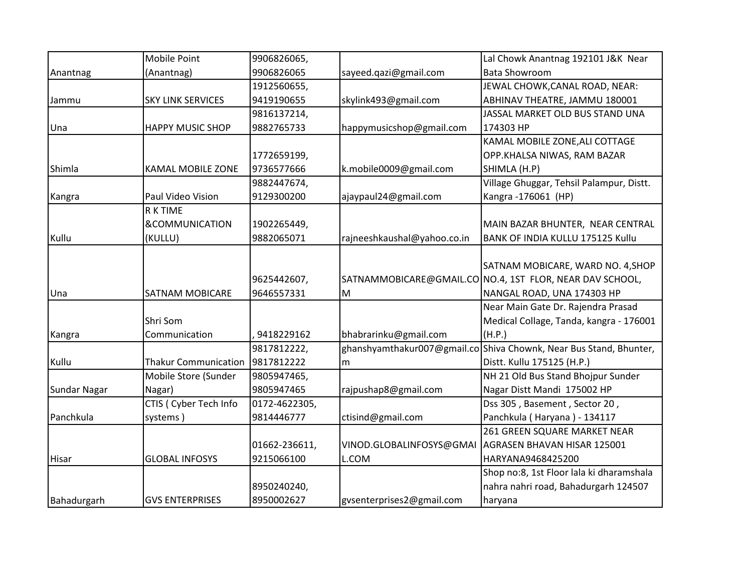|                     | Mobile Point                | 9906826065,   |                             | Lal Chowk Anantnag 192101 J&K Near                                 |
|---------------------|-----------------------------|---------------|-----------------------------|--------------------------------------------------------------------|
| Anantnag            | (Anantnag)                  | 9906826065    | sayeed.qazi@gmail.com       | <b>Bata Showroom</b>                                               |
|                     |                             | 1912560655,   |                             | JEWAL CHOWK, CANAL ROAD, NEAR:                                     |
| Jammu               | <b>SKY LINK SERVICES</b>    | 9419190655    | skylink493@gmail.com        | ABHINAV THEATRE, JAMMU 180001                                      |
|                     |                             | 9816137214,   |                             | JASSAL MARKET OLD BUS STAND UNA                                    |
| Una                 | <b>HAPPY MUSIC SHOP</b>     | 9882765733    | happymusicshop@gmail.com    | 174303 HP                                                          |
|                     |                             |               |                             | KAMAL MOBILE ZONE, ALI COTTAGE                                     |
|                     |                             | 1772659199,   |                             | OPP.KHALSA NIWAS, RAM BAZAR                                        |
| Shimla              | <b>KAMAL MOBILE ZONE</b>    | 9736577666    | k.mobile0009@gmail.com      | SHIMLA (H.P)                                                       |
|                     |                             | 9882447674,   |                             | Village Ghuggar, Tehsil Palampur, Distt.                           |
| Kangra              | Paul Video Vision           | 9129300200    | ajaypaul24@gmail.com        | Kangra-176061 (HP)                                                 |
|                     | R K TIME                    |               |                             |                                                                    |
|                     | &COMMUNICATION              | 1902265449,   |                             | MAIN BAZAR BHUNTER, NEAR CENTRAL                                   |
| Kullu               | (KULLU)                     | 9882065071    | rajneeshkaushal@yahoo.co.in | BANK OF INDIA KULLU 175125 Kullu                                   |
|                     |                             |               |                             |                                                                    |
|                     |                             |               |                             | SATNAM MOBICARE, WARD NO. 4, SHOP                                  |
|                     |                             | 9625442607,   |                             | SATNAMMOBICARE@GMAIL.CO NO.4, 1ST FLOR, NEAR DAV SCHOOL,           |
| Una                 | <b>SATNAM MOBICARE</b>      | 9646557331    | M                           | NANGAL ROAD, UNA 174303 HP                                         |
|                     |                             |               |                             | Near Main Gate Dr. Rajendra Prasad                                 |
|                     | Shri Som                    |               |                             | Medical Collage, Tanda, kangra - 176001                            |
| Kangra              | Communication               | 9418229162    | bhabrarinku@gmail.com       | (H.P.)                                                             |
|                     |                             | 9817812222,   |                             | ghanshyamthakur007@gmail.co Shiva Chownk, Near Bus Stand, Bhunter, |
| Kullu               | <b>Thakur Communication</b> | 9817812222    | m                           | Distt. Kullu 175125 (H.P.)                                         |
|                     | Mobile Store (Sunder        | 9805947465,   |                             | NH 21 Old Bus Stand Bhojpur Sunder                                 |
| <b>Sundar Nagar</b> | Nagar)                      | 9805947465    | rajpushap8@gmail.com        | Nagar Distt Mandi 175002 HP                                        |
|                     | CTIS ( Cyber Tech Info      | 0172-4622305, |                             | Dss 305, Basement, Sector 20,                                      |
| Panchkula           | systems)                    | 9814446777    | ctisind@gmail.com           | Panchkula (Haryana) - 134117                                       |
|                     |                             |               |                             | 261 GREEN SQUARE MARKET NEAR                                       |
|                     |                             | 01662-236611, | VINOD.GLOBALINFOSYS@GMAI    | AGRASEN BHAVAN HISAR 125001                                        |
| Hisar               | <b>GLOBAL INFOSYS</b>       | 9215066100    | L.COM                       | HARYANA9468425200                                                  |
|                     |                             |               |                             | Shop no:8, 1st Floor lala ki dharamshala                           |
|                     |                             | 8950240240,   |                             | nahra nahri road, Bahadurgarh 124507                               |
| Bahadurgarh         | <b>GVS ENTERPRISES</b>      | 8950002627    | gysenterprises2@gmail.com   | haryana                                                            |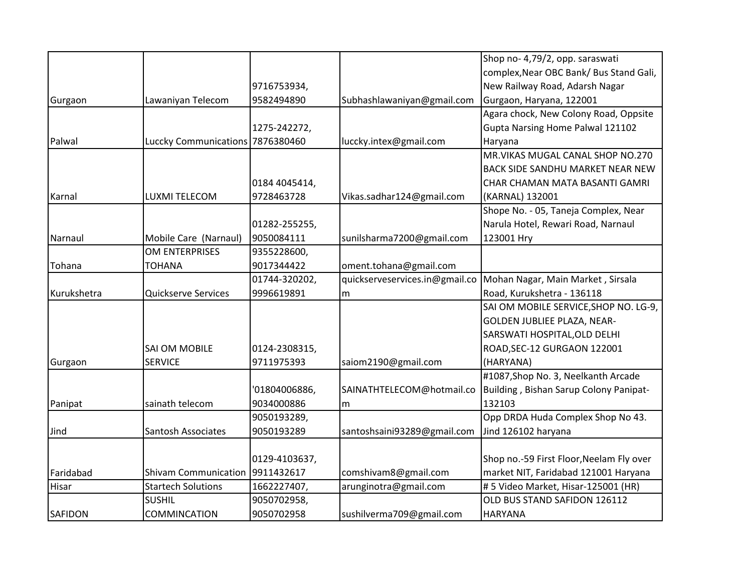|                |                                  |               |                                | Shop no- 4,79/2, opp. saraswati          |
|----------------|----------------------------------|---------------|--------------------------------|------------------------------------------|
|                |                                  |               |                                |                                          |
|                |                                  |               |                                | complex, Near OBC Bank/ Bus Stand Gali,  |
|                |                                  | 9716753934,   |                                | New Railway Road, Adarsh Nagar           |
| Gurgaon        | Lawaniyan Telecom                | 9582494890    | Subhashlawaniyan@gmail.com     | Gurgaon, Haryana, 122001                 |
|                |                                  |               |                                | Agara chock, New Colony Road, Oppsite    |
|                |                                  | 1275-242272,  |                                | Gupta Narsing Home Palwal 121102         |
| Palwal         | Luccky Communications 7876380460 |               | luccky.intex@gmail.com         | Haryana                                  |
|                |                                  |               |                                | MR. VIKAS MUGAL CANAL SHOP NO. 270       |
|                |                                  |               |                                | <b>BACK SIDE SANDHU MARKET NEAR NEW</b>  |
|                |                                  | 0184 4045414, |                                | CHAR CHAMAN MATA BASANTI GAMRI           |
| Karnal         | LUXMI TELECOM                    | 9728463728    | Vikas.sadhar124@gmail.com      | (KARNAL) 132001                          |
|                |                                  |               |                                | Shope No. - 05, Taneja Complex, Near     |
|                |                                  | 01282-255255, |                                | Narula Hotel, Rewari Road, Narnaul       |
| Narnaul        | Mobile Care (Narnaul)            | 9050084111    | sunilsharma7200@gmail.com      | 123001 Hry                               |
|                | OM ENTERPRISES                   | 9355228600,   |                                |                                          |
| Tohana         | <b>TOHANA</b>                    | 9017344422    | oment.tohana@gmail.com         |                                          |
|                |                                  | 01744-320202, | quickserveservices.in@gmail.co | Mohan Nagar, Main Market, Sirsala        |
| Kurukshetra    | Quickserve Services              | 9996619891    | m                              | Road, Kurukshetra - 136118               |
|                |                                  |               |                                | SAI OM MOBILE SERVICE, SHOP NO. LG-9,    |
|                |                                  |               |                                | GOLDEN JUBLIEE PLAZA, NEAR-              |
|                |                                  |               |                                | SARSWATI HOSPITAL, OLD DELHI             |
|                | SAI OM MOBILE                    | 0124-2308315, |                                | ROAD, SEC-12 GURGAON 122001              |
| Gurgaon        | <b>SERVICE</b>                   | 9711975393    | saiom2190@gmail.com            | (HARYANA)                                |
|                |                                  |               |                                | #1087, Shop No. 3, Neelkanth Arcade      |
|                |                                  | '01804006886, | SAINATHTELECOM@hotmail.co      | Building, Bishan Sarup Colony Panipat-   |
| Panipat        | sainath telecom                  | 9034000886    | m                              | 132103                                   |
|                |                                  | 9050193289,   |                                | Opp DRDA Huda Complex Shop No 43.        |
| Jind           | Santosh Associates               | 9050193289    | santoshsaini93289@gmail.com    | Jind 126102 haryana                      |
|                |                                  |               |                                |                                          |
|                |                                  | 0129-4103637, |                                | Shop no.-59 First Floor, Neelam Fly over |
| Faridabad      | <b>Shivam Communication</b>      | 9911432617    | comshivam8@gmail.com           | market NIT, Faridabad 121001 Haryana     |
| Hisar          | <b>Startech Solutions</b>        | 1662227407,   | arunginotra@gmail.com          | # 5 Video Market, Hisar-125001 (HR)      |
|                | <b>SUSHIL</b>                    | 9050702958,   |                                | OLD BUS STAND SAFIDON 126112             |
| <b>SAFIDON</b> | COMMINCATION                     | 9050702958    | sushilverma709@gmail.com       | <b>HARYANA</b>                           |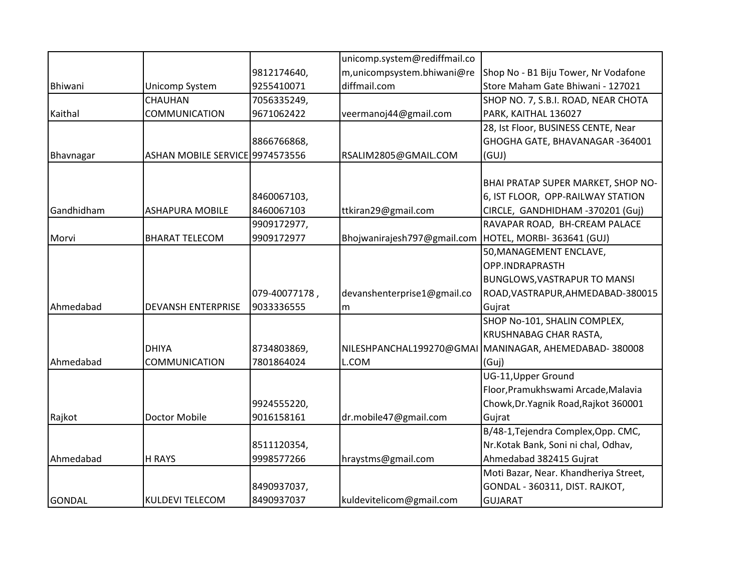|               |                                 |               | unicomp.system@rediffmail.co |                                                       |
|---------------|---------------------------------|---------------|------------------------------|-------------------------------------------------------|
|               |                                 | 9812174640,   | m, unicompsystem.bhiwani@re  | Shop No - B1 Biju Tower, Nr Vodafone                  |
| Bhiwani       | Unicomp System                  | 9255410071    | diffmail.com                 | Store Maham Gate Bhiwani - 127021                     |
|               | CHAUHAN                         | 7056335249,   |                              | SHOP NO. 7, S.B.I. ROAD, NEAR CHOTA                   |
| Kaithal       | <b>COMMUNICATION</b>            | 9671062422    | veermanoj44@gmail.com        | PARK, KAITHAL 136027                                  |
|               |                                 |               |                              | 28, Ist Floor, BUSINESS CENTE, Near                   |
|               |                                 | 8866766868,   |                              | GHOGHA GATE, BHAVANAGAR -364001                       |
| Bhavnagar     | ASHAN MOBILE SERVICE 9974573556 |               | RSALIM2805@GMAIL.COM         | (GUJ)                                                 |
|               |                                 |               |                              |                                                       |
|               |                                 |               |                              | BHAI PRATAP SUPER MARKET, SHOP NO-                    |
|               |                                 | 8460067103,   |                              | 6, IST FLOOR, OPP-RAILWAY STATION                     |
| Gandhidham    | <b>ASHAPURA MOBILE</b>          | 8460067103    | ttkiran29@gmail.com          | CIRCLE, GANDHIDHAM -370201 (Guj)                      |
|               |                                 | 9909172977,   |                              | RAVAPAR ROAD, BH-CREAM PALACE                         |
| Morvi         | <b>BHARAT TELECOM</b>           | 9909172977    | Bhojwanirajesh797@gmail.com  | HOTEL, MORBI-363641 (GUJ)                             |
|               |                                 |               |                              | 50, MANAGEMENT ENCLAVE,                               |
|               |                                 |               |                              | OPP.INDRAPRASTH                                       |
|               |                                 |               |                              | <b>BUNGLOWS, VASTRAPUR TO MANSI</b>                   |
|               |                                 | 079-40077178, | devanshenterprise1@gmail.co  | ROAD, VASTRAPUR, AHMEDABAD-380015                     |
| Ahmedabad     | <b>DEVANSH ENTERPRISE</b>       | 9033336555    | m                            | Gujrat                                                |
|               |                                 |               |                              | SHOP No-101, SHALIN COMPLEX,                          |
|               |                                 |               |                              | KRUSHNABAG CHAR RASTA,                                |
|               | <b>DHIYA</b>                    | 8734803869,   |                              | NILESHPANCHAL199270@GMAI MANINAGAR, AHEMEDABAD-380008 |
| Ahmedabad     | COMMUNICATION                   | 7801864024    | L.COM                        | (Guj)                                                 |
|               |                                 |               |                              | UG-11, Upper Ground                                   |
|               |                                 |               |                              | Floor, Pramukhswami Arcade, Malavia                   |
|               |                                 | 9924555220,   |                              | Chowk, Dr. Yagnik Road, Rajkot 360001                 |
| Rajkot        | Doctor Mobile                   | 9016158161    | dr.mobile47@gmail.com        | Gujrat                                                |
|               |                                 |               |                              | B/48-1, Tejendra Complex, Opp. CMC,                   |
|               |                                 | 8511120354,   |                              | Nr.Kotak Bank, Soni ni chal, Odhav,                   |
| Ahmedabad     | <b>H RAYS</b>                   | 9998577266    | hraystms@gmail.com           | Ahmedabad 382415 Gujrat                               |
|               |                                 |               |                              | Moti Bazar, Near. Khandheriya Street,                 |
|               |                                 | 8490937037,   |                              | GONDAL - 360311, DIST. RAJKOT,                        |
| <b>GONDAL</b> | <b>KULDEVI TELECOM</b>          | 8490937037    | kuldevitelicom@gmail.com     | <b>GUJARAT</b>                                        |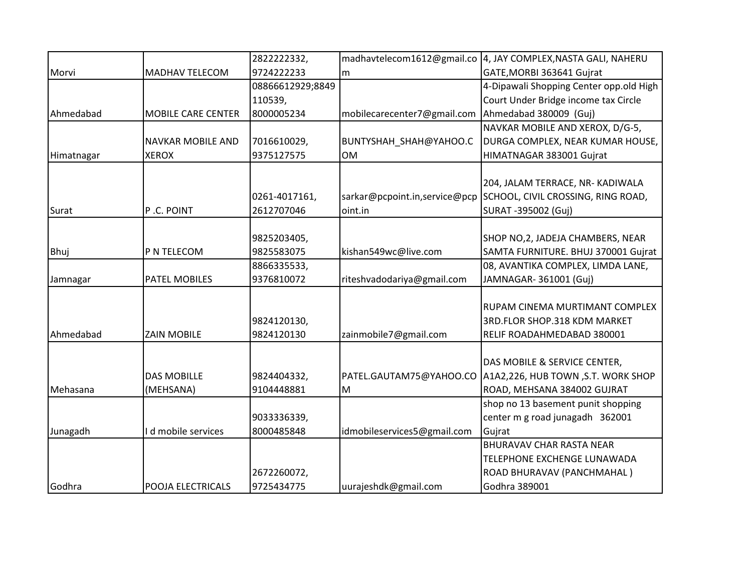|            |                           | 2822222332,      | madhavtelecom1612@gmail.co    | 4, JAY COMPLEX, NASTA GALI, NAHERU      |
|------------|---------------------------|------------------|-------------------------------|-----------------------------------------|
| Morvi      | <b>MADHAV TELECOM</b>     | 9724222233       | m                             | GATE, MORBI 363641 Gujrat               |
|            |                           | 08866612929;8849 |                               | 4-Dipawali Shopping Center opp.old High |
|            |                           | 110539,          |                               | Court Under Bridge income tax Circle    |
| Ahmedabad  | <b>MOBILE CARE CENTER</b> | 8000005234       | mobilecarecenter7@gmail.com   | Ahmedabad 380009 (Guj)                  |
|            |                           |                  |                               | NAVKAR MOBILE AND XEROX, D/G-5,         |
|            | <b>NAVKAR MOBILE AND</b>  | 7016610029,      | BUNTYSHAH_SHAH@YAHOO.C        | DURGA COMPLEX, NEAR KUMAR HOUSE,        |
| Himatnagar | <b>XEROX</b>              | 9375127575       | <b>OM</b>                     | HIMATNAGAR 383001 Gujrat                |
|            |                           |                  |                               |                                         |
|            |                           |                  |                               | 204, JALAM TERRACE, NR- KADIWALA        |
|            |                           | 0261-4017161,    | sarkar@pcpoint.in,service@pcp | SCHOOL, CIVIL CROSSING, RING ROAD,      |
| Surat      | P.C. POINT                | 2612707046       | oint.in                       | SURAT -395002 (Guj)                     |
|            |                           |                  |                               |                                         |
|            |                           | 9825203405,      |                               | SHOP NO, 2, JADEJA CHAMBERS, NEAR       |
| Bhuj       | P N TELECOM               | 9825583075       | kishan549wc@live.com          | SAMTA FURNITURE. BHUJ 370001 Gujrat     |
|            |                           | 8866335533,      |                               | 08, AVANTIKA COMPLEX, LIMDA LANE,       |
| Jamnagar   | <b>PATEL MOBILES</b>      | 9376810072       | riteshvadodariya@gmail.com    | JAMNAGAR- 361001 (Guj)                  |
|            |                           |                  |                               |                                         |
|            |                           |                  |                               | RUPAM CINEMA MURTIMANT COMPLEX          |
|            |                           | 9824120130,      |                               | 3RD.FLOR SHOP.318 KDM MARKET            |
| Ahmedabad  | <b>ZAIN MOBILE</b>        | 9824120130       | zainmobile7@gmail.com         | RELIF ROADAHMEDABAD 380001              |
|            |                           |                  |                               |                                         |
|            |                           |                  |                               | DAS MOBILE & SERVICE CENTER,            |
|            | <b>DAS MOBILLE</b>        | 9824404332,      | PATEL.GAUTAM75@YAHOO.CO       | A1A2,226, HUB TOWN, S.T. WORK SHOP      |
| Mehasana   | (MEHSANA)                 | 9104448881       | M                             | ROAD, MEHSANA 384002 GUJRAT             |
|            |                           |                  |                               | shop no 13 basement punit shopping      |
|            |                           | 9033336339,      |                               | center m g road junagadh 362001         |
| Junagadh   | I d mobile services       | 8000485848       | idmobileservices5@gmail.com   | Gujrat                                  |
|            |                           |                  |                               | <b>BHURAVAV CHAR RASTA NEAR</b>         |
|            |                           |                  |                               | TELEPHONE EXCHENGE LUNAWADA             |
|            |                           | 2672260072,      |                               | ROAD BHURAVAV (PANCHMAHAL)              |
| Godhra     | <b>POOJA ELECTRICALS</b>  | 9725434775       | uurajeshdk@gmail.com          | Godhra 389001                           |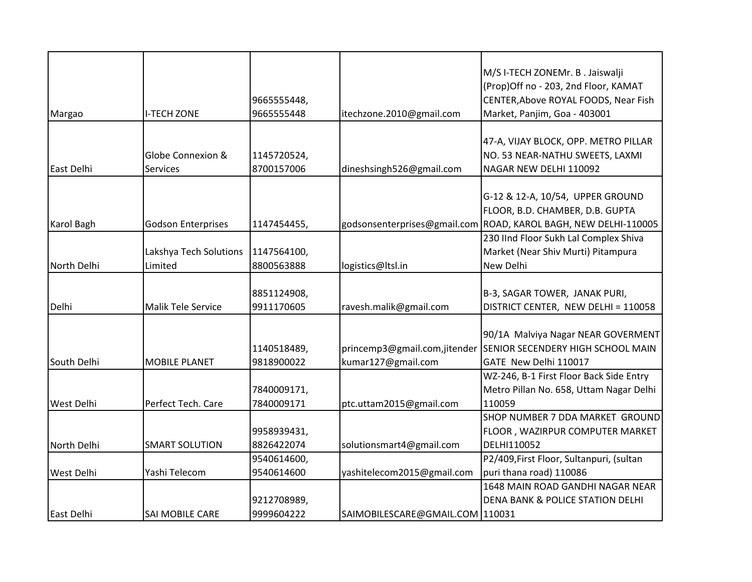|                   |                           |             |                                 | M/S I-TECH ZONEMr. B. Jaiswalji             |
|-------------------|---------------------------|-------------|---------------------------------|---------------------------------------------|
|                   |                           |             |                                 | (Prop)Off no - 203, 2nd Floor, KAMAT        |
|                   |                           | 9665555448, |                                 | CENTER, Above ROYAL FOODS, Near Fish        |
| Margao            | <b>I-TECH ZONE</b>        | 9665555448  | itechzone.2010@gmail.com        | Market, Panjim, Goa - 403001                |
|                   |                           |             |                                 |                                             |
|                   |                           |             |                                 | 47-A, VIJAY BLOCK, OPP. METRO PILLAR        |
|                   | Globe Connexion &         | 1145720524, |                                 | NO. 53 NEAR-NATHU SWEETS, LAXMI             |
| East Delhi        | <b>Services</b>           | 8700157006  | dineshsingh526@gmail.com        | NAGAR NEW DELHI 110092                      |
|                   |                           |             |                                 |                                             |
|                   |                           |             |                                 | G-12 & 12-A, 10/54, UPPER GROUND            |
|                   |                           |             |                                 | FLOOR, B.D. CHAMBER, D.B. GUPTA             |
| <b>Karol Bagh</b> | <b>Godson Enterprises</b> | 1147454455, | godsonsenterprises@gmail.com    | ROAD, KAROL BAGH, NEW DELHI-110005          |
|                   |                           |             |                                 | 230 IInd Floor Sukh Lal Complex Shiva       |
|                   | Lakshya Tech Solutions    | 1147564100, |                                 | Market (Near Shiv Murti) Pitampura          |
| North Delhi       | Limited                   | 8800563888  | logistics@ltsl.in               | New Delhi                                   |
|                   |                           |             |                                 |                                             |
|                   |                           | 8851124908, |                                 | B-3, SAGAR TOWER, JANAK PURI,               |
| Delhi             | Malik Tele Service        | 9911170605  | ravesh.malik@gmail.com          | DISTRICT CENTER, NEW DELHI = 110058         |
|                   |                           |             |                                 |                                             |
|                   |                           |             |                                 | 90/1A Malviya Nagar NEAR GOVERMENT          |
|                   |                           | 1140518489, | princemp3@gmail.com,jitender    | <b>SENIOR SECENDERY HIGH SCHOOL MAIN</b>    |
| South Delhi       | <b>MOBILE PLANET</b>      | 9818900022  | kumar127@gmail.com              | GATE New Delhi 110017                       |
|                   |                           |             |                                 | WZ-246, B-1 First Floor Back Side Entry     |
|                   |                           | 7840009171, |                                 | Metro Pillan No. 658, Uttam Nagar Delhi     |
| <b>West Delhi</b> | Perfect Tech. Care        | 7840009171  | ptc.uttam2015@gmail.com         | 110059                                      |
|                   |                           |             |                                 | SHOP NUMBER 7 DDA MARKET GROUND             |
|                   |                           | 9958939431, |                                 | FLOOR, WAZIRPUR COMPUTER MARKET             |
| North Delhi       | <b>SMART SOLUTION</b>     | 8826422074  | solutionsmart4@gmail.com        | DELHI110052                                 |
|                   |                           | 9540614600, |                                 | P2/409, First Floor, Sultanpuri, (sultan    |
| <b>West Delhi</b> | Yashi Telecom             | 9540614600  | yashitelecom2015@gmail.com      | puri thana road) 110086                     |
|                   |                           |             |                                 | 1648 MAIN ROAD GANDHI NAGAR NEAR            |
|                   |                           | 9212708989, |                                 | <b>DENA BANK &amp; POLICE STATION DELHI</b> |
| East Delhi        | SAI MOBILE CARE           | 9999604222  | SAIMOBILESCARE@GMAIL.COM 110031 |                                             |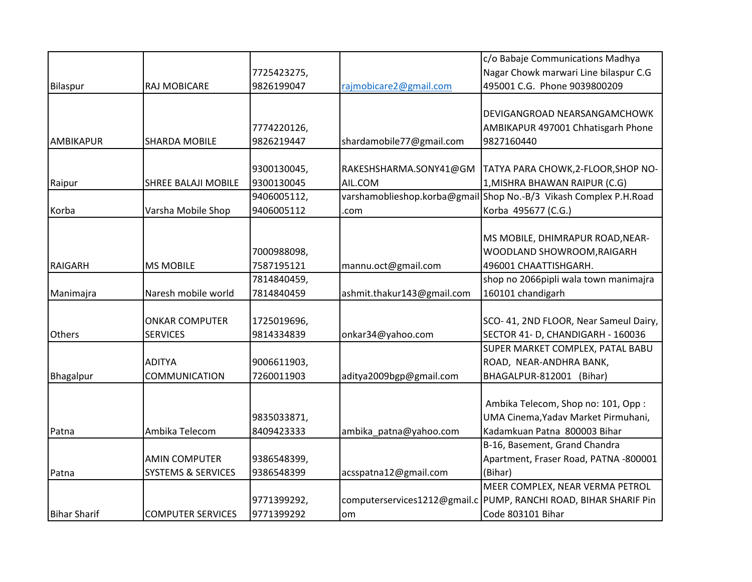|                     |                               |             |                              | c/o Babaje Communications Madhya       |
|---------------------|-------------------------------|-------------|------------------------------|----------------------------------------|
|                     |                               | 7725423275, |                              | Nagar Chowk marwari Line bilaspur C.G  |
| Bilaspur            | RAJ MOBICARE                  | 9826199047  | rajmobicare2@gmail.com       | 495001 C.G. Phone 9039800209           |
|                     |                               |             |                              |                                        |
|                     |                               |             |                              | DEVIGANGROAD NEARSANGAMCHOWK           |
|                     |                               | 7774220126, |                              | AMBIKAPUR 497001 Chhatisgarh Phone     |
| <b>AMBIKAPUR</b>    | <b>SHARDA MOBILE</b>          | 9826219447  | shardamobile77@gmail.com     | 9827160440                             |
|                     |                               |             |                              |                                        |
|                     |                               | 9300130045, | RAKESHSHARMA.SONY41@GM       | TATYA PARA CHOWK, 2-FLOOR, SHOP NO-    |
| Raipur              | SHREE BALAJI MOBILE           | 9300130045  | AIL.COM                      | 1, MISHRA BHAWAN RAIPUR (C.G)          |
|                     |                               | 9406005112, | varshamoblieshop.korba@gmail | Shop No.-B/3 Vikash Complex P.H.Road   |
| Korba               | Varsha Mobile Shop            | 9406005112  | .com                         | Korba 495677 (C.G.)                    |
|                     |                               |             |                              |                                        |
|                     |                               |             |                              | MS MOBILE, DHIMRAPUR ROAD, NEAR-       |
|                     |                               | 7000988098, |                              | WOODLAND SHOWROOM, RAIGARH             |
| <b>RAIGARH</b>      | <b>MS MOBILE</b>              | 7587195121  | mannu.oct@gmail.com          | 496001 CHAATTISHGARH.                  |
|                     |                               | 7814840459, |                              | shop no 2066pipli wala town manimajra  |
| Manimajra           | Naresh mobile world           | 7814840459  | ashmit.thakur143@gmail.com   | 160101 chandigarh                      |
|                     |                               |             |                              |                                        |
|                     | <b>ONKAR COMPUTER</b>         | 1725019696, |                              | SCO- 41, 2ND FLOOR, Near Sameul Dairy, |
| Others              | <b>SERVICES</b>               | 9814334839  | onkar34@yahoo.com            | SECTOR 41- D, CHANDIGARH - 160036      |
|                     |                               |             |                              | SUPER MARKET COMPLEX, PATAL BABU       |
|                     | <b>ADITYA</b>                 | 9006611903, |                              | ROAD, NEAR-ANDHRA BANK,                |
| Bhagalpur           | COMMUNICATION                 | 7260011903  | aditya2009bgp@gmail.com      | BHAGALPUR-812001 (Bihar)               |
|                     |                               |             |                              |                                        |
|                     |                               |             |                              | Ambika Telecom, Shop no: 101, Opp:     |
|                     |                               | 9835033871, |                              | UMA Cinema, Yadav Market Pirmuhani,    |
| Patna               | Ambika Telecom                | 8409423333  | ambika_patna@yahoo.com       | Kadamkuan Patna 800003 Bihar           |
|                     |                               |             |                              | B-16, Basement, Grand Chandra          |
|                     | <b>AMIN COMPUTER</b>          | 9386548399, |                              | Apartment, Fraser Road, PATNA -800001  |
| Patna               | <b>SYSTEMS &amp; SERVICES</b> | 9386548399  | acsspatna12@gmail.com        | (Bihar)                                |
|                     |                               |             |                              | MEER COMPLEX, NEAR VERMA PETROL        |
|                     |                               | 9771399292, | computerservices1212@gmail.c | PUMP, RANCHI ROAD, BIHAR SHARIF Pin    |
| <b>Bihar Sharif</b> | <b>COMPUTER SERVICES</b>      | 9771399292  | om                           | Code 803101 Bihar                      |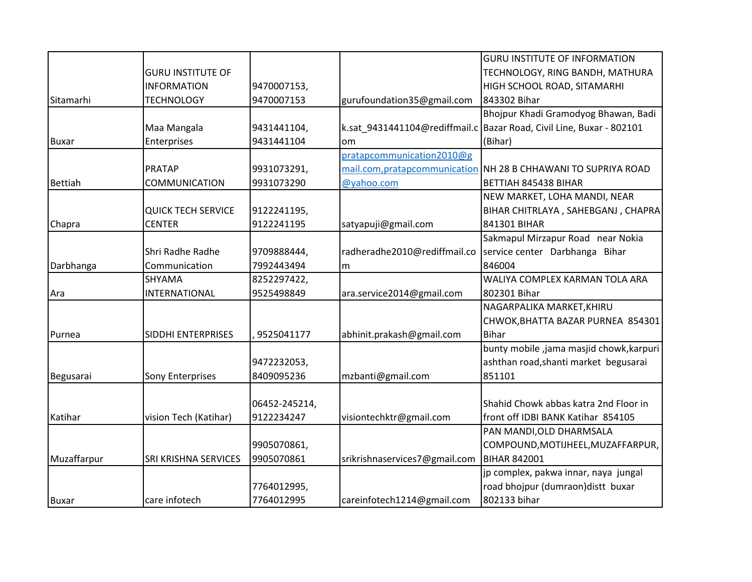|                |                           |               |                               | <b>GURU INSTITUTE OF INFORMATION</b>                                   |
|----------------|---------------------------|---------------|-------------------------------|------------------------------------------------------------------------|
|                | <b>GURU INSTITUTE OF</b>  |               |                               | TECHNOLOGY, RING BANDH, MATHURA                                        |
|                | <b>INFORMATION</b>        | 9470007153,   |                               | HIGH SCHOOL ROAD, SITAMARHI                                            |
| Sitamarhi      | <b>TECHNOLOGY</b>         | 9470007153    | gurufoundation35@gmail.com    | 843302 Bihar                                                           |
|                |                           |               |                               | Bhojpur Khadi Gramodyog Bhawan, Badi                                   |
|                | Maa Mangala               | 9431441104,   |                               | k.sat_9431441104@rediffmail.c   Bazar Road, Civil Line, Buxar - 802101 |
| <b>Buxar</b>   | Enterprises               | 9431441104    | om                            | (Bihar)                                                                |
|                |                           |               | pratapcommunication2010@g     |                                                                        |
|                | <b>PRATAP</b>             | 9931073291,   |                               | mail.com, pratapcommunication NH 28 B CHHAWANI TO SUPRIYA ROAD         |
| <b>Bettiah</b> | COMMUNICATION             | 9931073290    | @yahoo.com                    | BETTIAH 845438 BIHAR                                                   |
|                |                           |               |                               | NEW MARKET, LOHA MANDI, NEAR                                           |
|                | <b>QUICK TECH SERVICE</b> | 9122241195,   |                               | BIHAR CHITRLAYA, SAHEBGANJ, CHAPRA                                     |
| Chapra         | <b>CENTER</b>             | 9122241195    | satyapuji@gmail.com           | 841301 BIHAR                                                           |
|                |                           |               |                               | Sakmapul Mirzapur Road near Nokia                                      |
|                | Shri Radhe Radhe          | 9709888444,   | radheradhe2010@rediffmail.co  | service center Darbhanga Bihar                                         |
| Darbhanga      | Communication             | 7992443494    | m                             | 846004                                                                 |
|                | SHYAMA                    | 8252297422,   |                               | WALIYA COMPLEX KARMAN TOLA ARA                                         |
| Ara            | INTERNATIONAL             | 9525498849    | ara.service2014@gmail.com     | 802301 Bihar                                                           |
|                |                           |               |                               | NAGARPALIKA MARKET, KHIRU                                              |
|                |                           |               |                               | CHWOK, BHATTA BAZAR PURNEA 854301                                      |
| Purnea         | SIDDHI ENTERPRISES        | 9525041177    | abhinit.prakash@gmail.com     | <b>Bihar</b>                                                           |
|                |                           |               |                               | bunty mobile, jama masjid chowk, karpuri                               |
|                |                           | 9472232053,   |                               | ashthan road, shanti market begusarai                                  |
| Begusarai      | <b>Sony Enterprises</b>   | 8409095236    | mzbanti@gmail.com             | 851101                                                                 |
|                |                           |               |                               |                                                                        |
|                |                           | 06452-245214, |                               | Shahid Chowk abbas katra 2nd Floor in                                  |
| Katihar        | vision Tech (Katihar)     | 9122234247    | visiontechktr@gmail.com       | front off IDBI BANK Katihar 854105                                     |
|                |                           |               |                               | PAN MANDI, OLD DHARMSALA                                               |
|                |                           | 9905070861,   |                               | COMPOUND, MOTIJHEEL, MUZAFFARPUR,                                      |
| Muzaffarpur    | SRI KRISHNA SERVICES      | 9905070861    | srikrishnaservices7@gmail.com | <b>BIHAR 842001</b>                                                    |
|                |                           |               |                               | jp complex, pakwa innar, naya jungal                                   |
|                |                           | 7764012995,   |                               | road bhojpur (dumraon) distt buxar                                     |
| <b>Buxar</b>   | care infotech             | 7764012995    | careinfotech1214@gmail.com    | 802133 bihar                                                           |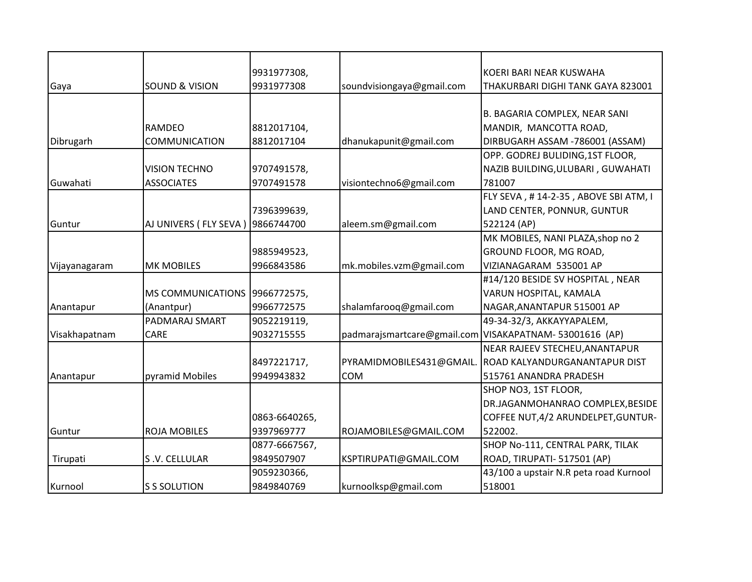|               |                           | 9931977308,   |                           | KOERI BARI NEAR KUSWAHA                                |
|---------------|---------------------------|---------------|---------------------------|--------------------------------------------------------|
| Gaya          | <b>SOUND &amp; VISION</b> | 9931977308    | soundvisiongaya@gmail.com | THAKURBARI DIGHI TANK GAYA 823001                      |
|               |                           |               |                           |                                                        |
|               |                           |               |                           | B. BAGARIA COMPLEX, NEAR SANI                          |
|               | RAMDEO                    | 8812017104,   |                           | MANDIR, MANCOTTA ROAD,                                 |
| Dibrugarh     | <b>COMMUNICATION</b>      | 8812017104    | dhanukapunit@gmail.com    | DIRBUGARH ASSAM -786001 (ASSAM)                        |
|               |                           |               |                           | OPP. GODREJ BULIDING, 1ST FLOOR,                       |
|               | <b>VISION TECHNO</b>      | 9707491578,   |                           | NAZIB BUILDING, ULUBARI, GUWAHATI                      |
| Guwahati      | <b>ASSOCIATES</b>         | 9707491578    | visiontechno6@gmail.com   | 781007                                                 |
|               |                           |               |                           | FLY SEVA, #14-2-35, ABOVE SBI ATM, I                   |
|               |                           | 7396399639,   |                           | LAND CENTER, PONNUR, GUNTUR                            |
| Guntur        | AJ UNIVERS ( FLY SEVA )   | 9866744700    | aleem.sm@gmail.com        | 522124 (AP)                                            |
|               |                           |               |                           | MK MOBILES, NANI PLAZA, shop no 2                      |
|               |                           | 9885949523,   |                           | GROUND FLOOR, MG ROAD,                                 |
| Vijayanagaram | <b>MK MOBILES</b>         | 9966843586    | mk.mobiles.vzm@gmail.com  | VIZIANAGARAM 535001 AP                                 |
|               |                           |               |                           | #14/120 BESIDE SV HOSPITAL, NEAR                       |
|               | <b>MS COMMUNICATIONS</b>  | 9966772575,   |                           | VARUN HOSPITAL, KAMALA                                 |
| Anantapur     | (Anantpur)                | 9966772575    | shalamfarooq@gmail.com    | NAGAR, ANANTAPUR 515001 AP                             |
|               | PADMARAJ SMART            | 9052219119,   |                           | 49-34-32/3, AKKAYYAPALEM,                              |
| Visakhapatnam | CARE                      | 9032715555    |                           | padmarajsmartcare@gmail.com VISAKAPATNAM-53001616 (AP) |
|               |                           |               |                           | NEAR RAJEEV STECHEU, ANANTAPUR                         |
|               |                           | 8497221717,   | PYRAMIDMOBILES431@GMAIL.  | <b>ROAD KALYANDURGANANTAPUR DIST</b>                   |
| Anantapur     | pyramid Mobiles           | 9949943832    | <b>COM</b>                | 515761 ANANDRA PRADESH                                 |
|               |                           |               |                           | SHOP NO3, 1ST FLOOR,                                   |
|               |                           |               |                           | DR.JAGANMOHANRAO COMPLEX, BESIDE                       |
|               |                           | 0863-6640265, |                           | COFFEE NUT, 4/2 ARUNDELPET, GUNTUR-                    |
| Guntur        | <b>ROJA MOBILES</b>       | 9397969777    | ROJAMOBILES@GMAIL.COM     | 522002.                                                |
|               |                           | 0877-6667567, |                           | SHOP No-111, CENTRAL PARK, TILAK                       |
| Tirupati      | S.V. CELLULAR             | 9849507907    | KSPTIRUPATI@GMAIL.COM     | ROAD, TIRUPATI- 517501 (AP)                            |
|               |                           | 9059230366,   |                           | 43/100 a upstair N.R peta road Kurnool                 |
| Kurnool       | <b>S S SOLUTION</b>       | 9849840769    | kurnoolksp@gmail.com      | 518001                                                 |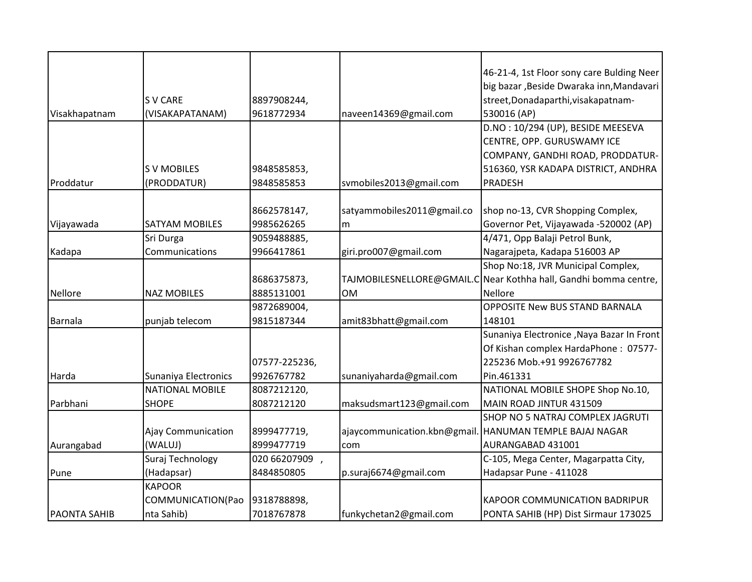|                     |                      |               |                             | 46-21-4, 1st Floor sony care Bulding Neer  |
|---------------------|----------------------|---------------|-----------------------------|--------------------------------------------|
|                     |                      |               |                             | big bazar , Beside Dwaraka inn, Mandavari  |
|                     | <b>SV CARE</b>       | 8897908244,   |                             | street, Donadaparthi, visakapatnam-        |
| Visakhapatnam       | (VISAKAPATANAM)      | 9618772934    | naveen14369@gmail.com       | 530016 (AP)                                |
|                     |                      |               |                             | D.NO: 10/294 (UP), BESIDE MEESEVA          |
|                     |                      |               |                             | CENTRE, OPP. GURUSWAMY ICE                 |
|                     |                      |               |                             | COMPANY, GANDHI ROAD, PRODDATUR-           |
|                     | <b>SV MOBILES</b>    | 9848585853,   |                             | 516360, YSR KADAPA DISTRICT, ANDHRA        |
| Proddatur           | (PRODDATUR)          | 9848585853    | svmobiles2013@gmail.com     | PRADESH                                    |
|                     |                      |               |                             |                                            |
|                     |                      | 8662578147,   | satyammobiles2011@gmail.co  | shop no-13, CVR Shopping Complex,          |
| Vijayawada          | SATYAM MOBILES       | 9985626265    | m                           | Governor Pet, Vijayawada -520002 (AP)      |
|                     | Sri Durga            | 9059488885,   |                             | 4/471, Opp Balaji Petrol Bunk,             |
| Kadapa              | Communications       | 9966417861    | giri.pro007@gmail.com       | Nagarajpeta, Kadapa 516003 AP              |
|                     |                      |               |                             | Shop No:18, JVR Municipal Complex,         |
|                     |                      | 8686375873,   | TAJMOBILESNELLORE@GMAIL.C   | Near Kothha hall, Gandhi bomma centre,     |
| Nellore             | <b>NAZ MOBILES</b>   | 8885131001    | <b>OM</b>                   | <b>Nellore</b>                             |
|                     |                      | 9872689004,   |                             | <b>OPPOSITE New BUS STAND BARNALA</b>      |
| Barnala             | punjab telecom       | 9815187344    | amit83bhatt@gmail.com       | 148101                                     |
|                     |                      |               |                             | Sunaniya Electronice , Naya Bazar In Front |
|                     |                      |               |                             | Of Kishan complex HardaPhone: 07577-       |
|                     |                      | 07577-225236, |                             | 225236 Mob.+91 9926767782                  |
|                     |                      | 9926767782    |                             |                                            |
| Harda               | Sunaniya Electronics |               | sunaniyaharda@gmail.com     | Pin.461331                                 |
|                     | NATIONAL MOBILE      | 8087212120,   |                             | NATIONAL MOBILE SHOPE Shop No.10,          |
| Parbhani            | <b>SHOPE</b>         | 8087212120    | maksudsmart123@gmail.com    | MAIN ROAD JINTUR 431509                    |
|                     |                      |               |                             | SHOP NO 5 NATRAJ COMPLEX JAGRUTI           |
|                     | Ajay Communication   | 8999477719,   | ajaycommunication.kbn@gmail | HANUMAN TEMPLE BAJAJ NAGAR                 |
| Aurangabad          | (WALUJ)              | 8999477719    | com                         | AURANGABAD 431001                          |
|                     | Suraj Technology     | 020 66207909, |                             | C-105, Mega Center, Magarpatta City,       |
| Pune                | (Hadapsar)           | 8484850805    | p.suraj6674@gmail.com       | Hadapsar Pune - 411028                     |
|                     | <b>KAPOOR</b>        |               |                             |                                            |
|                     | COMMUNICATION(Pao    | 9318788898,   |                             | <b>KAPOOR COMMUNICATION BADRIPUR</b>       |
| <b>PAONTA SAHIB</b> | nta Sahib)           | 7018767878    | funkychetan2@gmail.com      | PONTA SAHIB (HP) Dist Sirmaur 173025       |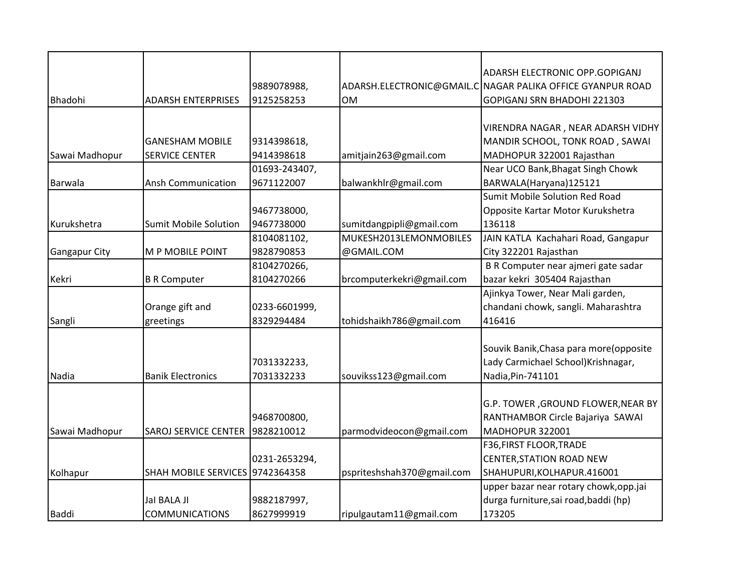|                      |                                 |               |                            | ADARSH ELECTRONIC OPP.GOPIGANJ                             |
|----------------------|---------------------------------|---------------|----------------------------|------------------------------------------------------------|
|                      |                                 | 9889078988,   |                            | ADARSH.ELECTRONIC@GMAIL.C NAGAR PALIKA OFFICE GYANPUR ROAD |
| Bhadohi              | <b>ADARSH ENTERPRISES</b>       | 9125258253    | <b>OM</b>                  | GOPIGANJ SRN BHADOHI 221303                                |
|                      |                                 |               |                            |                                                            |
|                      |                                 |               |                            | VIRENDRA NAGAR, NEAR ADARSH VIDHY                          |
|                      | <b>GANESHAM MOBILE</b>          | 9314398618,   |                            | MANDIR SCHOOL, TONK ROAD, SAWAI                            |
| Sawai Madhopur       | <b>SERVICE CENTER</b>           | 9414398618    | amitjain263@gmail.com      | MADHOPUR 322001 Rajasthan                                  |
|                      |                                 | 01693-243407, |                            | Near UCO Bank, Bhagat Singh Chowk                          |
| Barwala              | <b>Ansh Communication</b>       | 9671122007    | balwankhlr@gmail.com       | BARWALA(Haryana)125121                                     |
|                      |                                 |               |                            | <b>Sumit Mobile Solution Red Road</b>                      |
|                      |                                 | 9467738000,   |                            | Opposite Kartar Motor Kurukshetra                          |
| Kurukshetra          | <b>Sumit Mobile Solution</b>    | 9467738000    | sumitdangpipli@gmail.com   | 136118                                                     |
|                      |                                 | 8104081102,   | MUKESH2013LEMONMOBILES     | JAIN KATLA Kachahari Road, Gangapur                        |
| <b>Gangapur City</b> | M P MOBILE POINT                | 9828790853    | @GMAIL.COM                 | City 322201 Rajasthan                                      |
|                      |                                 | 8104270266,   |                            | B R Computer near ajmeri gate sadar                        |
| Kekri                | <b>B R Computer</b>             | 8104270266    | brcomputerkekri@gmail.com  | bazar kekri 305404 Rajasthan                               |
|                      |                                 |               |                            | Ajinkya Tower, Near Mali garden,                           |
|                      | Orange gift and                 | 0233-6601999, |                            | chandani chowk, sangli. Maharashtra                        |
| Sangli               | greetings                       | 8329294484    | tohidshaikh786@gmail.com   | 416416                                                     |
|                      |                                 |               |                            |                                                            |
|                      |                                 |               |                            | Souvik Banik, Chasa para more (opposite                    |
|                      |                                 | 7031332233,   |                            | Lady Carmichael School) Krishnagar,                        |
| Nadia                | <b>Banik Electronics</b>        | 7031332233    | souvikss123@gmail.com      | Nadia, Pin-741101                                          |
|                      |                                 |               |                            |                                                            |
|                      |                                 |               |                            | G.P. TOWER, GROUND FLOWER, NEAR BY                         |
|                      |                                 | 9468700800,   |                            | RANTHAMBOR Circle Bajariya SAWAI                           |
| Sawai Madhopur       | <b>SAROJ SERVICE CENTER</b>     | 9828210012    | parmodvideocon@gmail.com   | MADHOPUR 322001                                            |
|                      |                                 |               |                            | <b>F36, FIRST FLOOR, TRADE</b>                             |
|                      |                                 | 0231-2653294, |                            | <b>CENTER, STATION ROAD NEW</b>                            |
| Kolhapur             | SHAH MOBILE SERVICES 9742364358 |               | pspriteshshah370@gmail.com | SHAHUPURI, KOLHAPUR.416001                                 |
|                      |                                 |               |                            | upper bazar near rotary chowk, opp.jai                     |
|                      | Jal BALA JI                     | 9882187997,   |                            | durga furniture, sai road, baddi (hp)                      |
| <b>Baddi</b>         | <b>COMMUNICATIONS</b>           | 8627999919    | ripulgautam11@gmail.com    | 173205                                                     |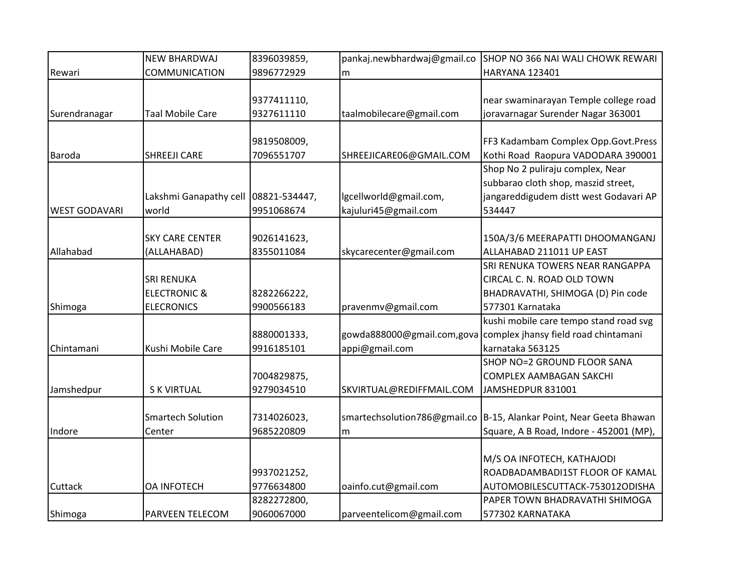|                      | <b>NEW BHARDWAJ</b>      | 8396039859,   | pankaj.newbhardwaj@gmail.co  | SHOP NO 366 NAI WALI CHOWK REWARI                               |
|----------------------|--------------------------|---------------|------------------------------|-----------------------------------------------------------------|
| Rewari               | <b>COMMUNICATION</b>     | 9896772929    | m                            | HARYANA 123401                                                  |
|                      |                          |               |                              |                                                                 |
|                      |                          | 9377411110,   |                              | near swaminarayan Temple college road                           |
| Surendranagar        | <b>Taal Mobile Care</b>  | 9327611110    | taalmobilecare@gmail.com     | joravarnagar Surender Nagar 363001                              |
|                      |                          |               |                              |                                                                 |
|                      |                          | 9819508009,   |                              | FF3 Kadambam Complex Opp.Govt.Press                             |
| <b>Baroda</b>        | <b>SHREEJI CARE</b>      | 7096551707    | SHREEJICARE06@GMAIL.COM      | Kothi Road Raopura VADODARA 390001                              |
|                      |                          |               |                              | Shop No 2 puliraju complex, Near                                |
|                      |                          |               |                              | subbarao cloth shop, maszid street,                             |
|                      | Lakshmi Ganapathy cell   | 08821-534447, | lgcellworld@gmail.com,       | jangareddigudem distt west Godavari AP                          |
| <b>WEST GODAVARI</b> | world                    | 9951068674    | kajuluri45@gmail.com         | 534447                                                          |
|                      |                          |               |                              |                                                                 |
|                      | <b>SKY CARE CENTER</b>   | 9026141623,   |                              | 150A/3/6 MEERAPATTI DHOOMANGANJ                                 |
| Allahabad            | (ALLAHABAD)              | 8355011084    | skycarecenter@gmail.com      | ALLAHABAD 211011 UP EAST                                        |
|                      |                          |               |                              | SRI RENUKA TOWERS NEAR RANGAPPA                                 |
|                      | <b>SRI RENUKA</b>        |               |                              | CIRCAL C. N. ROAD OLD TOWN                                      |
|                      | <b>ELECTRONIC &amp;</b>  | 8282266222,   |                              | BHADRAVATHI, SHIMOGA (D) Pin code                               |
| Shimoga              | <b>ELECRONICS</b>        | 9900566183    | pravenmv@gmail.com           | 577301 Karnataka                                                |
|                      |                          |               |                              | kushi mobile care tempo stand road svg                          |
|                      |                          | 8880001333,   |                              | gowda888000@gmail.com,gova complex jhansy field road chintamani |
| Chintamani           | Kushi Mobile Care        | 9916185101    | appi@gmail.com               | karnataka 563125                                                |
|                      |                          |               |                              | SHOP NO=2 GROUND FLOOR SANA                                     |
|                      |                          | 7004829875,   |                              | <b>COMPLEX AAMBAGAN SAKCHI</b>                                  |
| Jamshedpur           | <b>S K VIRTUAL</b>       | 9279034510    | SKVIRTUAL@REDIFFMAIL.COM     | JAMSHEDPUR 831001                                               |
|                      |                          |               |                              |                                                                 |
|                      | <b>Smartech Solution</b> | 7314026023,   | smartechsolution786@gmail.co | B-15, Alankar Point, Near Geeta Bhawan                          |
| Indore               | Center                   | 9685220809    | m                            | Square, A B Road, Indore - 452001 (MP),                         |
|                      |                          |               |                              |                                                                 |
|                      |                          |               |                              | M/S OA INFOTECH, KATHAJODI                                      |
|                      |                          | 9937021252,   |                              | ROADBADAMBADI1ST FLOOR OF KAMAL                                 |
| Cuttack              | <b>OA INFOTECH</b>       | 9776634800    | oainfo.cut@gmail.com         | AUTOMOBILESCUTTACK-753012ODISHA                                 |
|                      |                          | 8282272800,   |                              | PAPER TOWN BHADRAVATHI SHIMOGA                                  |
| Shimoga              | <b>PARVEEN TELECOM</b>   | 9060067000    | parveentelicom@gmail.com     | 577302 KARNATAKA                                                |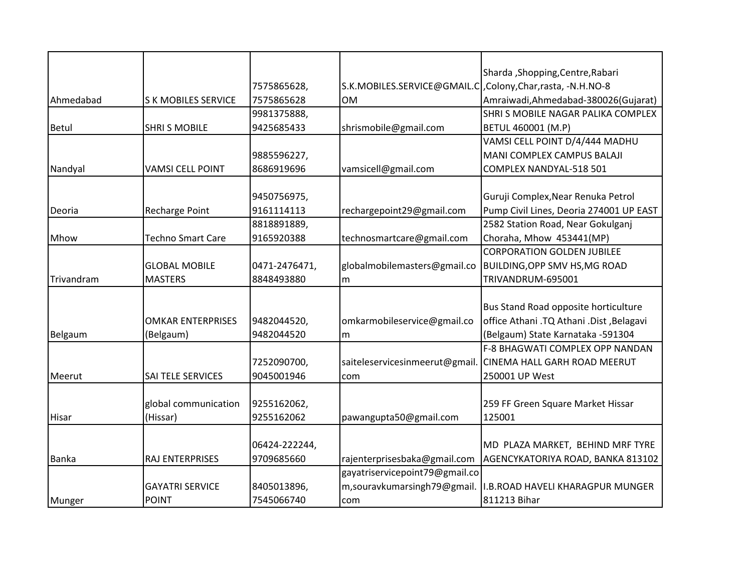|              |                           |               |                                                             | Sharda, Shopping, Centre, Rabari         |
|--------------|---------------------------|---------------|-------------------------------------------------------------|------------------------------------------|
|              |                           | 7575865628,   | S.K.MOBILES.SERVICE@GMAIL.C, Colony, Char, rasta, -N.H.NO-8 |                                          |
| Ahmedabad    | <b>SK MOBILES SERVICE</b> | 7575865628    | <b>OM</b>                                                   | Amraiwadi, Ahmedabad-380026(Gujarat)     |
|              |                           | 9981375888,   |                                                             | SHRI S MOBILE NAGAR PALIKA COMPLEX       |
| <b>Betul</b> | <b>SHRI S MOBILE</b>      | 9425685433    | shrismobile@gmail.com                                       | BETUL 460001 (M.P)                       |
|              |                           |               |                                                             | VAMSI CELL POINT D/4/444 MADHU           |
|              |                           | 9885596227,   |                                                             | MANI COMPLEX CAMPUS BALAJI               |
| Nandyal      | <b>VAMSI CELL POINT</b>   | 8686919696    | vamsicell@gmail.com                                         | COMPLEX NANDYAL-518 501                  |
|              |                           |               |                                                             |                                          |
|              |                           | 9450756975,   |                                                             | Guruji Complex, Near Renuka Petrol       |
| Deoria       | <b>Recharge Point</b>     | 9161114113    | rechargepoint29@gmail.com                                   | Pump Civil Lines, Deoria 274001 UP EAST  |
|              |                           | 8818891889,   |                                                             | 2582 Station Road, Near Gokulganj        |
| Mhow         | <b>Techno Smart Care</b>  | 9165920388    | technosmartcare@gmail.com                                   | Choraha, Mhow 453441(MP)                 |
|              |                           |               |                                                             | <b>CORPORATION GOLDEN JUBILEE</b>        |
|              | <b>GLOBAL MOBILE</b>      | 0471-2476471, | globalmobilemasters@gmail.co                                | <b>BUILDING, OPP SMV HS, MG ROAD</b>     |
| Trivandram   | <b>MASTERS</b>            | 8848493880    | m                                                           | TRIVANDRUM-695001                        |
|              |                           |               |                                                             |                                          |
|              |                           |               |                                                             | Bus Stand Road opposite horticulture     |
|              | <b>OMKAR ENTERPRISES</b>  | 9482044520,   | omkarmobileservice@gmail.co                                 | office Athani .TQ Athani .Dist ,Belagavi |
| Belgaum      | (Belgaum)                 | 9482044520    | m                                                           | (Belgaum) State Karnataka -591304        |
|              |                           |               |                                                             | F-8 BHAGWATI COMPLEX OPP NANDAN          |
|              |                           | 7252090700,   | saiteleservicesinmeerut@gmail.                              | <b>CINEMA HALL GARH ROAD MEERUT</b>      |
| Meerut       | SAI TELE SERVICES         | 9045001946    | com                                                         | 250001 UP West                           |
|              |                           |               |                                                             |                                          |
|              | global communication      | 9255162062,   |                                                             | 259 FF Green Square Market Hissar        |
| Hisar        | (Hissar)                  | 9255162062    | pawangupta50@gmail.com                                      | 125001                                   |
|              |                           |               |                                                             |                                          |
|              |                           | 06424-222244, |                                                             | MD PLAZA MARKET, BEHIND MRF TYRE         |
| <b>Banka</b> | RAJ ENTERPRISES           | 9709685660    | rajenterprisesbaka@gmail.com                                | AGENCYKATORIYA ROAD, BANKA 813102        |
|              |                           |               | gayatriservicepoint79@gmail.co                              |                                          |
|              | <b>GAYATRI SERVICE</b>    | 8405013896,   | m,souravkumarsingh79@gmail.                                 | I.B.ROAD HAVELI KHARAGPUR MUNGER         |
| Munger       | <b>POINT</b>              | 7545066740    | com                                                         | 811213 Bihar                             |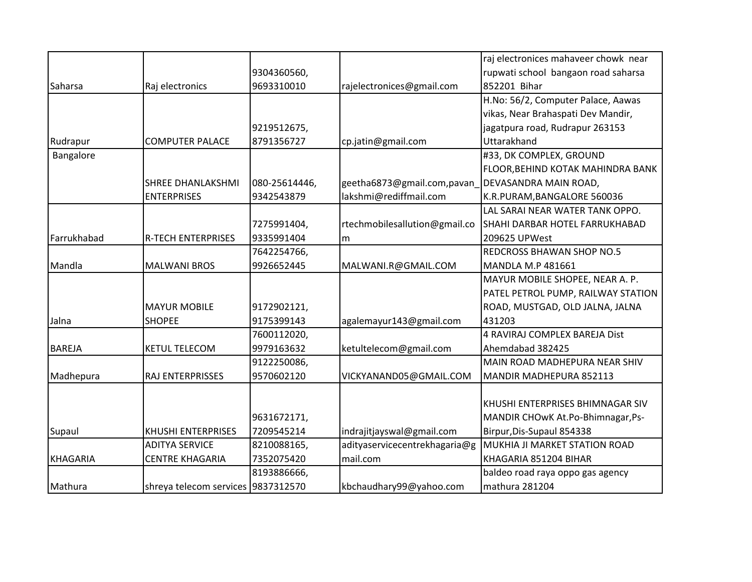|                 |                                    |               |                               | raj electronices mahaveer chowk near |
|-----------------|------------------------------------|---------------|-------------------------------|--------------------------------------|
|                 |                                    | 9304360560,   |                               | rupwati school bangaon road saharsa  |
| Saharsa         | Raj electronics                    | 9693310010    | rajelectronices@gmail.com     | 852201 Bihar                         |
|                 |                                    |               |                               | H.No: 56/2, Computer Palace, Aawas   |
|                 |                                    |               |                               | vikas, Near Brahaspati Dev Mandir,   |
|                 |                                    | 9219512675,   |                               | jagatpura road, Rudrapur 263153      |
| Rudrapur        | <b>COMPUTER PALACE</b>             | 8791356727    | cp.jatin@gmail.com            | Uttarakhand                          |
| Bangalore       |                                    |               |                               | #33, DK COMPLEX, GROUND              |
|                 |                                    |               |                               | FLOOR, BEHIND KOTAK MAHINDRA BANK    |
|                 | <b>SHREE DHANLAKSHMI</b>           | 080-25614446, | geetha6873@gmail.com,pavan    | DEVASANDRA MAIN ROAD,                |
|                 | <b>ENTERPRISES</b>                 | 9342543879    | lakshmi@rediffmail.com        | K.R.PURAM, BANGALORE 560036          |
|                 |                                    |               |                               | LAL SARAI NEAR WATER TANK OPPO.      |
|                 |                                    | 7275991404,   | rtechmobilesallution@gmail.co | SHAHI DARBAR HOTEL FARRUKHABAD       |
| Farrukhabad     | <b>R-TECH ENTERPRISES</b>          | 9335991404    | m                             | 209625 UPWest                        |
|                 |                                    | 7642254766,   |                               | <b>REDCROSS BHAWAN SHOP NO.5</b>     |
| Mandla          | <b>MALWANI BROS</b>                | 9926652445    | MALWANI.R@GMAIL.COM           | <b>MANDLA M.P 481661</b>             |
|                 |                                    |               |                               | MAYUR MOBILE SHOPEE, NEAR A. P.      |
|                 |                                    |               |                               | PATEL PETROL PUMP, RAILWAY STATION   |
|                 | <b>MAYUR MOBILE</b>                | 9172902121,   |                               | ROAD, MUSTGAD, OLD JALNA, JALNA      |
| Jalna           | <b>SHOPEE</b>                      | 9175399143    | agalemayur143@gmail.com       | 431203                               |
|                 |                                    | 7600112020,   |                               | 4 RAVIRAJ COMPLEX BAREJA Dist        |
| <b>BAREJA</b>   | <b>KETUL TELECOM</b>               | 9979163632    | ketultelecom@gmail.com        | Ahemdabad 382425                     |
|                 |                                    | 9122250086,   |                               | MAIN ROAD MADHEPURA NEAR SHIV        |
| Madhepura       | RAJ ENTERPRISSES                   | 9570602120    | VICKYANAND05@GMAIL.COM        | MANDIR MADHEPURA 852113              |
|                 |                                    |               |                               |                                      |
|                 |                                    |               |                               | KHUSHI ENTERPRISES BHIMNAGAR SIV     |
|                 |                                    | 9631672171,   |                               | MANDIR CHOWK At.Po-Bhimnagar, Ps-    |
| Supaul          | <b>KHUSHI ENTERPRISES</b>          | 7209545214    | indrajitjayswal@gmail.com     | Birpur, Dis-Supaul 854338            |
|                 | <b>ADITYA SERVICE</b>              | 8210088165,   | adityaservicecentrekhagaria@g | MUKHIA JI MARKET STATION ROAD        |
| <b>KHAGARIA</b> | <b>CENTRE KHAGARIA</b>             | 7352075420    | mail.com                      | KHAGARIA 851204 BIHAR                |
|                 |                                    | 8193886666,   |                               | baldeo road raya oppo gas agency     |
| Mathura         | shreya telecom services 9837312570 |               | kbchaudhary99@yahoo.com       | mathura 281204                       |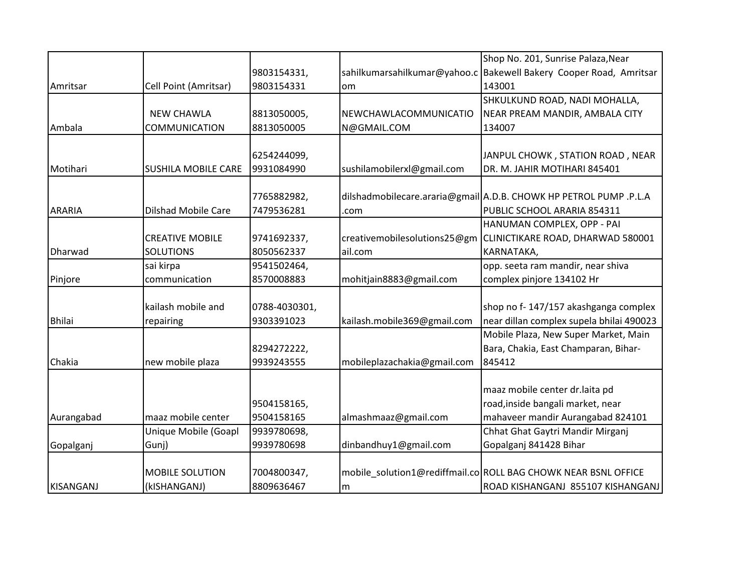|                  |                            |               |                              | Shop No. 201, Sunrise Palaza, Near                                 |
|------------------|----------------------------|---------------|------------------------------|--------------------------------------------------------------------|
|                  |                            | 9803154331,   |                              | sahilkumarsahilkumar@yahoo.c Bakewell Bakery Cooper Road, Amritsar |
| Amritsar         | Cell Point (Amritsar)      | 9803154331    | om                           | 143001                                                             |
|                  |                            |               |                              | SHKULKUND ROAD, NADI MOHALLA,                                      |
|                  | <b>NEW CHAWLA</b>          | 8813050005,   | NEWCHAWLACOMMUNICATIO        | NEAR PREAM MANDIR, AMBALA CITY                                     |
| Ambala           | <b>COMMUNICATION</b>       | 8813050005    | N@GMAIL.COM                  | 134007                                                             |
|                  |                            |               |                              |                                                                    |
|                  |                            | 6254244099,   |                              | JANPUL CHOWK, STATION ROAD, NEAR                                   |
| Motihari         | <b>SUSHILA MOBILE CARE</b> | 9931084990    | sushilamobilerxl@gmail.com   | DR. M. JAHIR MOTIHARI 845401                                       |
|                  |                            |               |                              |                                                                    |
|                  |                            | 7765882982,   |                              | dilshadmobilecare.araria@gmail A.D.B. CHOWK HP PETROL PUMP .P.L.A  |
| <b>ARARIA</b>    | <b>Dilshad Mobile Care</b> | 7479536281    | .com                         | PUBLIC SCHOOL ARARIA 854311                                        |
|                  |                            |               |                              | HANUMAN COMPLEX, OPP - PAI                                         |
|                  | <b>CREATIVE MOBILE</b>     | 9741692337,   | creativemobilesolutions25@gm | CLINICTIKARE ROAD, DHARWAD 580001                                  |
| Dharwad          | <b>SOLUTIONS</b>           | 8050562337    | ail.com                      | KARNATAKA,                                                         |
|                  | sai kirpa                  | 9541502464,   |                              | opp. seeta ram mandir, near shiva                                  |
| Pinjore          | communication              | 8570008883    | mohitjain8883@gmail.com      | complex pinjore 134102 Hr                                          |
|                  |                            |               |                              |                                                                    |
|                  | kailash mobile and         | 0788-4030301, |                              | shop no f-147/157 akashganga complex                               |
| <b>Bhilai</b>    | repairing                  | 9303391023    | kailash.mobile369@gmail.com  | near dillan complex supela bhilai 490023                           |
|                  |                            |               |                              | Mobile Plaza, New Super Market, Main                               |
|                  |                            | 8294272222,   |                              | Bara, Chakia, East Champaran, Bihar-                               |
| Chakia           | new mobile plaza           | 9939243555    | mobileplazachakia@gmail.com  | 845412                                                             |
|                  |                            |               |                              |                                                                    |
|                  |                            |               |                              | maaz mobile center dr.laita pd                                     |
|                  |                            | 9504158165,   |                              | road, inside bangali market, near                                  |
| Aurangabad       | maaz mobile center         | 9504158165    | almashmaaz@gmail.com         | mahaveer mandir Aurangabad 824101                                  |
|                  | Unique Mobile (Goapl       | 9939780698,   |                              | Chhat Ghat Gaytri Mandir Mirganj                                   |
| Gopalganj        | Gunj)                      | 9939780698    | dinbandhuy1@gmail.com        | Gopalganj 841428 Bihar                                             |
|                  |                            |               |                              |                                                                    |
|                  | <b>MOBILE SOLUTION</b>     | 7004800347,   |                              | mobile solution1@rediffmail.co ROLL BAG CHOWK NEAR BSNL OFFICE     |
| <b>KISANGANJ</b> | (kISHANGANJ)               | 8809636467    | m                            | ROAD KISHANGANJ 855107 KISHANGANJ                                  |